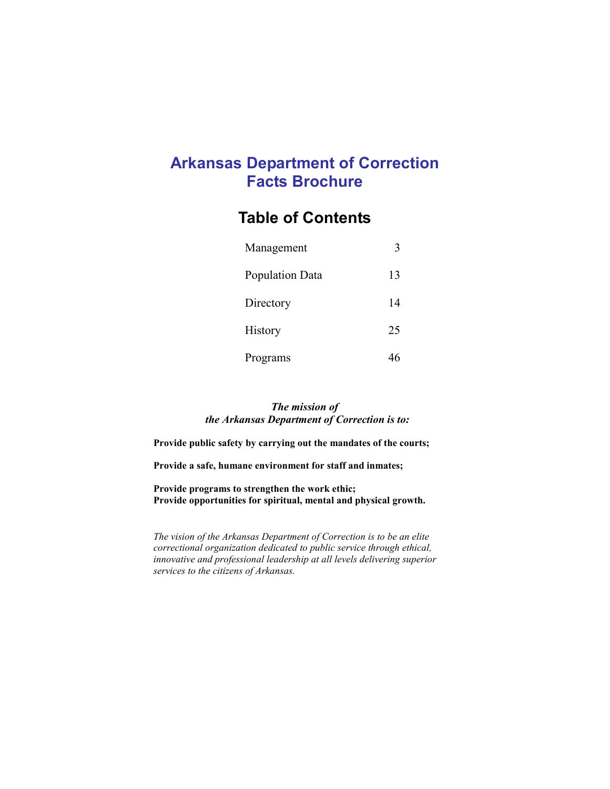## Arkansas Department of Correction Facts Brochure

## Table of Contents

| Management      | 3  |
|-----------------|----|
| Population Data | 13 |
| Directory       | 14 |
| History         | 25 |
| Programs        |    |

#### The mission of the Arkansas Department of Correction is to:

Provide public safety by carrying out the mandates of the courts;

Provide a safe, humane environment for staff and inmates;

Provide programs to strengthen the work ethic; Provide opportunities for spiritual, mental and physical growth.

The vision of the Arkansas Department of Correction is to be an elite correctional organization dedicated to public service through ethical, innovative and professional leadership at all levels delivering superior services to the citizens of Arkansas.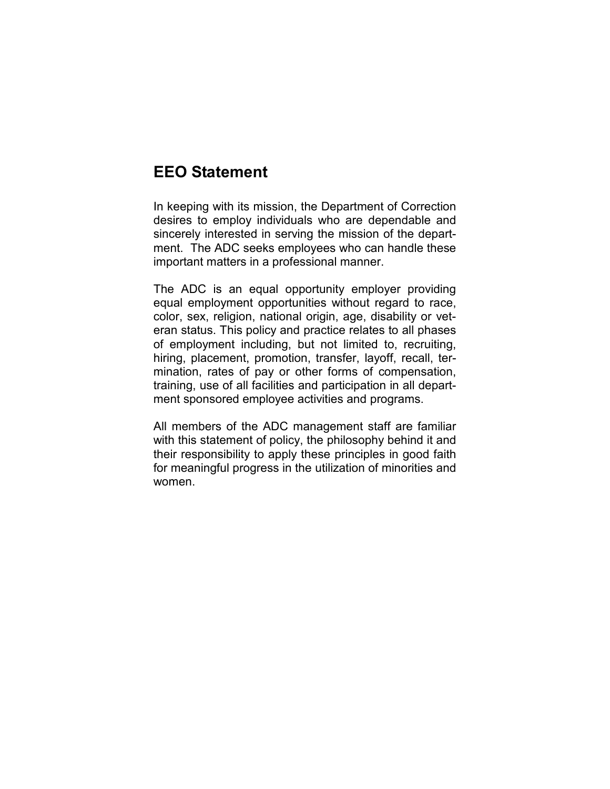## EEO Statement

In keeping with its mission, the Department of Correction desires to employ individuals who are dependable and sincerely interested in serving the mission of the department. The ADC seeks employees who can handle these important matters in a professional manner.

The ADC is an equal opportunity employer providing equal employment opportunities without regard to race, color, sex, religion, national origin, age, disability or veteran status. This policy and practice relates to all phases of employment including, but not limited to, recruiting, hiring, placement, promotion, transfer, layoff, recall, termination, rates of pay or other forms of compensation, training, use of all facilities and participation in all department sponsored employee activities and programs.

All members of the ADC management staff are familiar with this statement of policy, the philosophy behind it and their responsibility to apply these principles in good faith for meaningful progress in the utilization of minorities and women.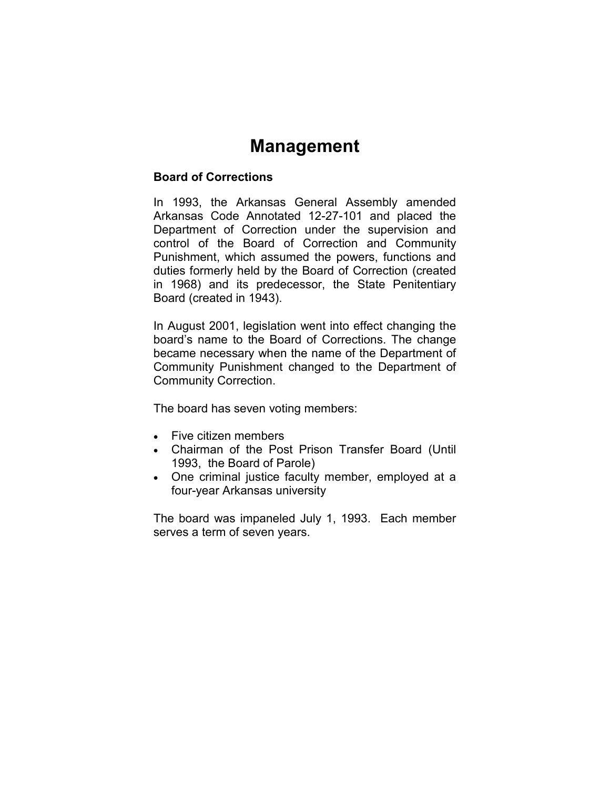# Management

### Board of Corrections

In 1993, the Arkansas General Assembly amended Arkansas Code Annotated 12-27-101 and placed the Department of Correction under the supervision and control of the Board of Correction and Community Punishment, which assumed the powers, functions and duties formerly held by the Board of Correction (created in 1968) and its predecessor, the State Penitentiary Board (created in 1943).

In August 2001, legislation went into effect changing the board's name to the Board of Corrections. The change became necessary when the name of the Department of Community Punishment changed to the Department of Community Correction.

The board has seven voting members:

- Five citizen members
- Chairman of the Post Prison Transfer Board (Until 1993, the Board of Parole)
- One criminal justice faculty member, employed at a four-year Arkansas university

The board was impaneled July 1, 1993. Each member serves a term of seven years.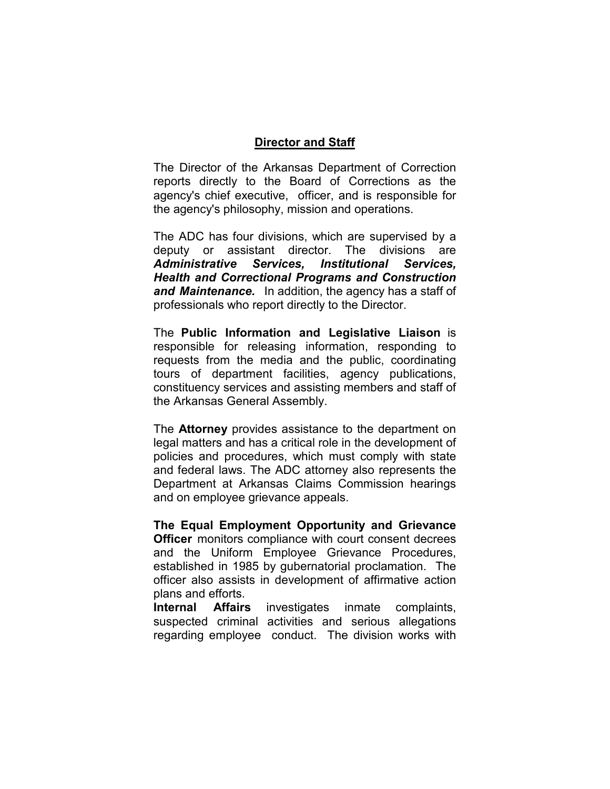### Director and Staff

The Director of the Arkansas Department of Correction reports directly to the Board of Corrections as the agency's chief executive, officer, and is responsible for the agency's philosophy, mission and operations.

The ADC has four divisions, which are supervised by a deputy or assistant director. The divisions are Administrative Services, Institutional Services, Health and Correctional Programs and Construction and Maintenance. In addition, the agency has a staff of professionals who report directly to the Director.

The Public Information and Legislative Liaison is responsible for releasing information, responding to requests from the media and the public, coordinating tours of department facilities, agency publications, constituency services and assisting members and staff of the Arkansas General Assembly.

The **Attorney** provides assistance to the department on legal matters and has a critical role in the development of policies and procedures, which must comply with state and federal laws. The ADC attorney also represents the Department at Arkansas Claims Commission hearings and on employee grievance appeals.

The Equal Employment Opportunity and Grievance **Officer** monitors compliance with court consent decrees and the Uniform Employee Grievance Procedures, established in 1985 by gubernatorial proclamation. The officer also assists in development of affirmative action plans and efforts.

Internal Affairs investigates inmate complaints, suspected criminal activities and serious allegations regarding employee conduct. The division works with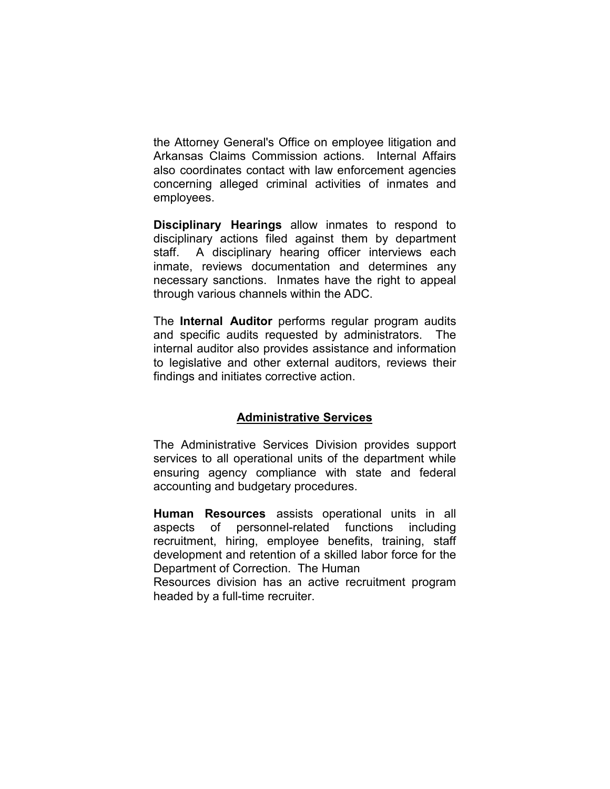the Attorney General's Office on employee litigation and Arkansas Claims Commission actions. Internal Affairs also coordinates contact with law enforcement agencies concerning alleged criminal activities of inmates and employees.

Disciplinary Hearings allow inmates to respond to disciplinary actions filed against them by department staff. A disciplinary hearing officer interviews each inmate, reviews documentation and determines any necessary sanctions. Inmates have the right to appeal through various channels within the ADC.

The Internal Auditor performs regular program audits and specific audits requested by administrators. The internal auditor also provides assistance and information to legislative and other external auditors, reviews their findings and initiates corrective action.

## Administrative Services

The Administrative Services Division provides support services to all operational units of the department while ensuring agency compliance with state and federal accounting and budgetary procedures.

Human Resources assists operational units in all aspects of personnel-related functions including recruitment, hiring, employee benefits, training, staff development and retention of a skilled labor force for the Department of Correction. The Human

Resources division has an active recruitment program headed by a full-time recruiter.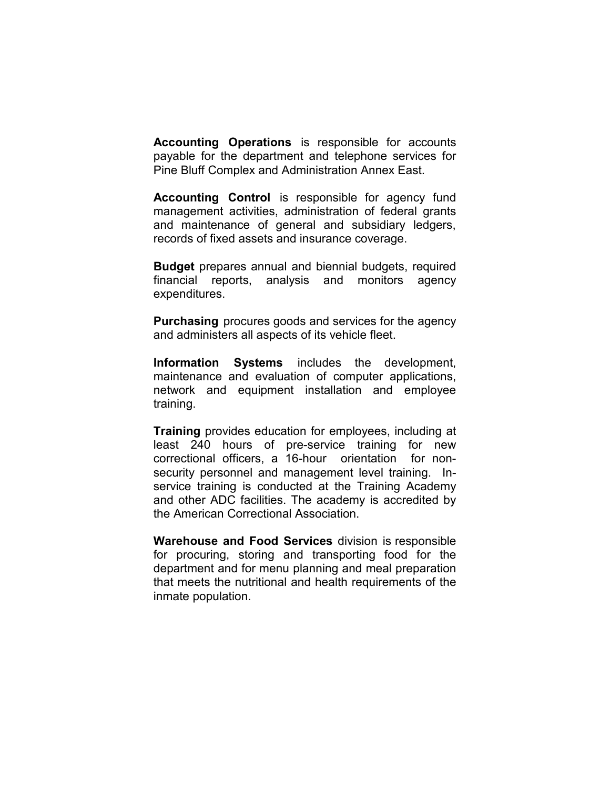Accounting Operations is responsible for accounts payable for the department and telephone services for Pine Bluff Complex and Administration Annex East.

Accounting Control is responsible for agency fund management activities, administration of federal grants and maintenance of general and subsidiary ledgers, records of fixed assets and insurance coverage.

Budget prepares annual and biennial budgets, required financial reports, analysis and monitors agency expenditures.

Purchasing procures goods and services for the agency and administers all aspects of its vehicle fleet.

Information Systems includes the development, maintenance and evaluation of computer applications, network and equipment installation and employee training.

Training provides education for employees, including at least 240 hours of pre-service training for new correctional officers, a 16-hour orientation for nonsecurity personnel and management level training. Inservice training is conducted at the Training Academy and other ADC facilities. The academy is accredited by the American Correctional Association.

Warehouse and Food Services division is responsible for procuring, storing and transporting food for the department and for menu planning and meal preparation that meets the nutritional and health requirements of the inmate population.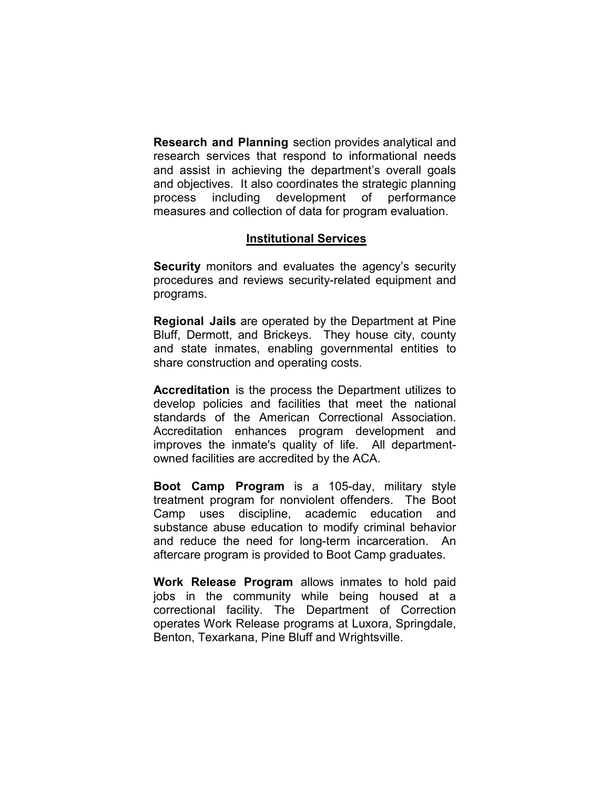Research and Planning section provides analytical and research services that respond to informational needs and assist in achieving the department's overall goals and objectives. It also coordinates the strategic planning process including development of performance measures and collection of data for program evaluation.

## Institutional Services

Security monitors and evaluates the agency's security procedures and reviews security-related equipment and programs.

Regional Jails are operated by the Department at Pine Bluff, Dermott, and Brickeys. They house city, county and state inmates, enabling governmental entities to share construction and operating costs.

Accreditation is the process the Department utilizes to develop policies and facilities that meet the national standards of the American Correctional Association. Accreditation enhances program development and improves the inmate's quality of life. All departmentowned facilities are accredited by the ACA.

Boot Camp Program is a 105-day, military style treatment program for nonviolent offenders. The Boot Camp uses discipline, academic education and substance abuse education to modify criminal behavior and reduce the need for long-term incarceration. An aftercare program is provided to Boot Camp graduates.

Work Release Program allows inmates to hold paid jobs in the community while being housed at a correctional facility. The Department of Correction operates Work Release programs at Luxora, Springdale, Benton, Texarkana, Pine Bluff and Wrightsville.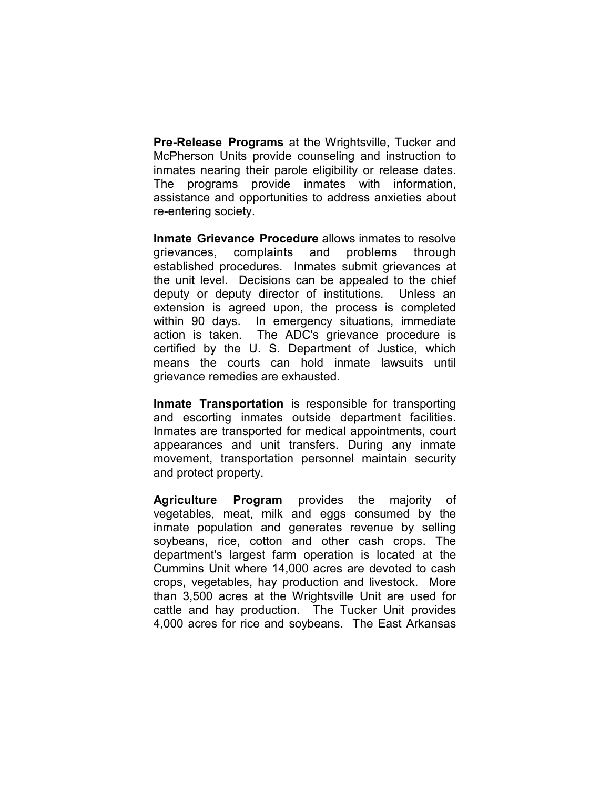Pre-Release Programs at the Wrightsville, Tucker and McPherson Units provide counseling and instruction to inmates nearing their parole eligibility or release dates. The programs provide inmates with information, assistance and opportunities to address anxieties about re-entering society.

Inmate Grievance Procedure allows inmates to resolve grievances, complaints and problems through established procedures. Inmates submit grievances at the unit level. Decisions can be appealed to the chief deputy or deputy director of institutions. Unless an extension is agreed upon, the process is completed within 90 days. In emergency situations, immediate action is taken. The ADC's grievance procedure is certified by the U. S. Department of Justice, which means the courts can hold inmate lawsuits until grievance remedies are exhausted.

Inmate Transportation is responsible for transporting and escorting inmates outside department facilities. Inmates are transported for medical appointments, court appearances and unit transfers. During any inmate movement, transportation personnel maintain security and protect property.

Agriculture Program provides the majority of vegetables, meat, milk and eggs consumed by the inmate population and generates revenue by selling soybeans, rice, cotton and other cash crops. The department's largest farm operation is located at the Cummins Unit where 14,000 acres are devoted to cash crops, vegetables, hay production and livestock. More than 3,500 acres at the Wrightsville Unit are used for cattle and hay production. The Tucker Unit provides 4,000 acres for rice and soybeans. The East Arkansas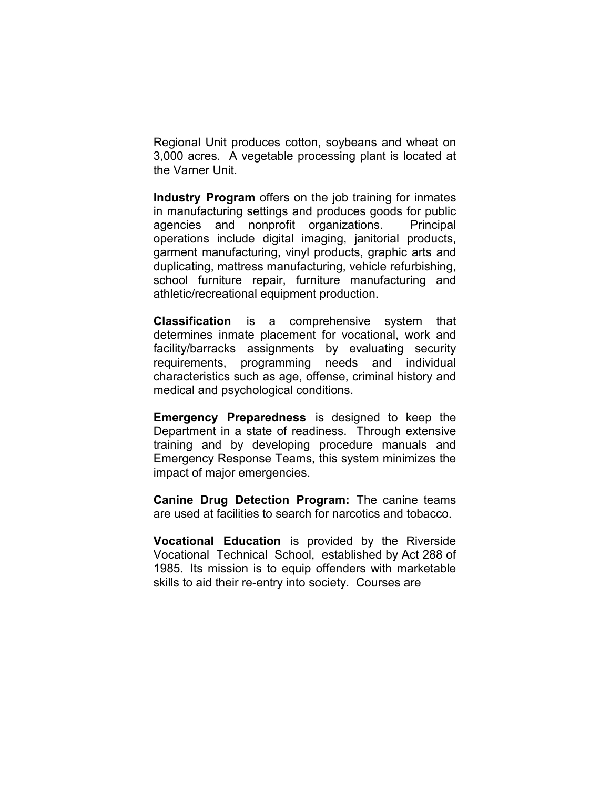Regional Unit produces cotton, soybeans and wheat on 3,000 acres. A vegetable processing plant is located at the Varner Unit.

Industry Program offers on the job training for inmates in manufacturing settings and produces goods for public agencies and nonprofit organizations. Principal operations include digital imaging, janitorial products, garment manufacturing, vinyl products, graphic arts and duplicating, mattress manufacturing, vehicle refurbishing, school furniture repair, furniture manufacturing and athletic/recreational equipment production.

Classification is a comprehensive system that determines inmate placement for vocational, work and facility/barracks assignments by evaluating security requirements, programming needs and individual characteristics such as age, offense, criminal history and medical and psychological conditions.

Emergency Preparedness is designed to keep the Department in a state of readiness. Through extensive training and by developing procedure manuals and Emergency Response Teams, this system minimizes the impact of major emergencies.

Canine Drug Detection Program: The canine teams are used at facilities to search for narcotics and tobacco.

Vocational Education is provided by the Riverside Vocational Technical School, established by Act 288 of 1985. Its mission is to equip offenders with marketable skills to aid their re-entry into society. Courses are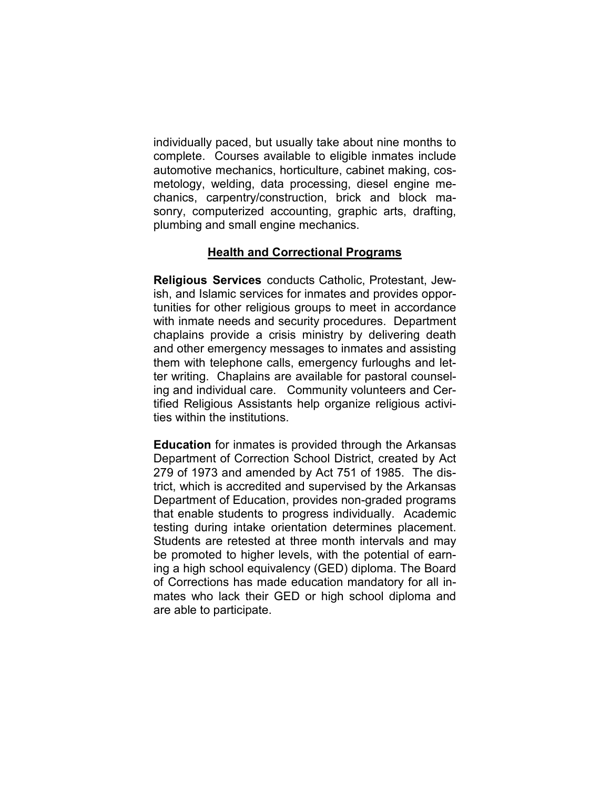individually paced, but usually take about nine months to complete. Courses available to eligible inmates include automotive mechanics, horticulture, cabinet making, cosmetology, welding, data processing, diesel engine mechanics, carpentry/construction, brick and block masonry, computerized accounting, graphic arts, drafting, plumbing and small engine mechanics.

## Health and Correctional Programs

Religious Services conducts Catholic, Protestant, Jewish, and Islamic services for inmates and provides opportunities for other religious groups to meet in accordance with inmate needs and security procedures. Department chaplains provide a crisis ministry by delivering death and other emergency messages to inmates and assisting them with telephone calls, emergency furloughs and letter writing. Chaplains are available for pastoral counseling and individual care. Community volunteers and Certified Religious Assistants help organize religious activities within the institutions.

Education for inmates is provided through the Arkansas Department of Correction School District, created by Act 279 of 1973 and amended by Act 751 of 1985. The district, which is accredited and supervised by the Arkansas Department of Education, provides non-graded programs that enable students to progress individually. Academic testing during intake orientation determines placement. Students are retested at three month intervals and may be promoted to higher levels, with the potential of earning a high school equivalency (GED) diploma. The Board of Corrections has made education mandatory for all inmates who lack their GED or high school diploma and are able to participate.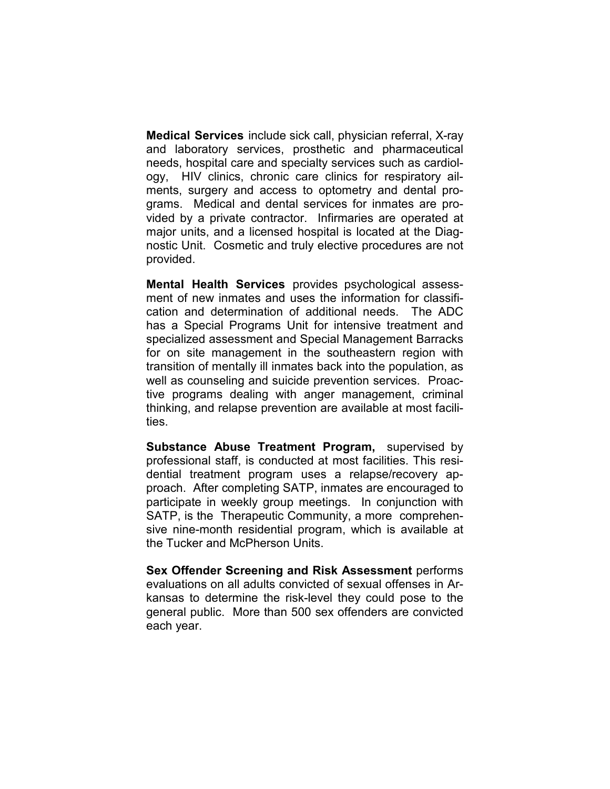Medical Services include sick call, physician referral, X-ray and laboratory services, prosthetic and pharmaceutical needs, hospital care and specialty services such as cardiology, HIV clinics, chronic care clinics for respiratory ailments, surgery and access to optometry and dental programs. Medical and dental services for inmates are provided by a private contractor. Infirmaries are operated at major units, and a licensed hospital is located at the Diagnostic Unit. Cosmetic and truly elective procedures are not provided.

Mental Health Services provides psychological assessment of new inmates and uses the information for classification and determination of additional needs. The ADC has a Special Programs Unit for intensive treatment and specialized assessment and Special Management Barracks for on site management in the southeastern region with transition of mentally ill inmates back into the population, as well as counseling and suicide prevention services. Proactive programs dealing with anger management, criminal thinking, and relapse prevention are available at most facilities.

Substance Abuse Treatment Program, supervised by professional staff, is conducted at most facilities. This residential treatment program uses a relapse/recovery approach. After completing SATP, inmates are encouraged to participate in weekly group meetings. In conjunction with SATP, is the Therapeutic Community, a more comprehensive nine-month residential program, which is available at the Tucker and McPherson Units.

Sex Offender Screening and Risk Assessment performs evaluations on all adults convicted of sexual offenses in Arkansas to determine the risk-level they could pose to the general public. More than 500 sex offenders are convicted each year.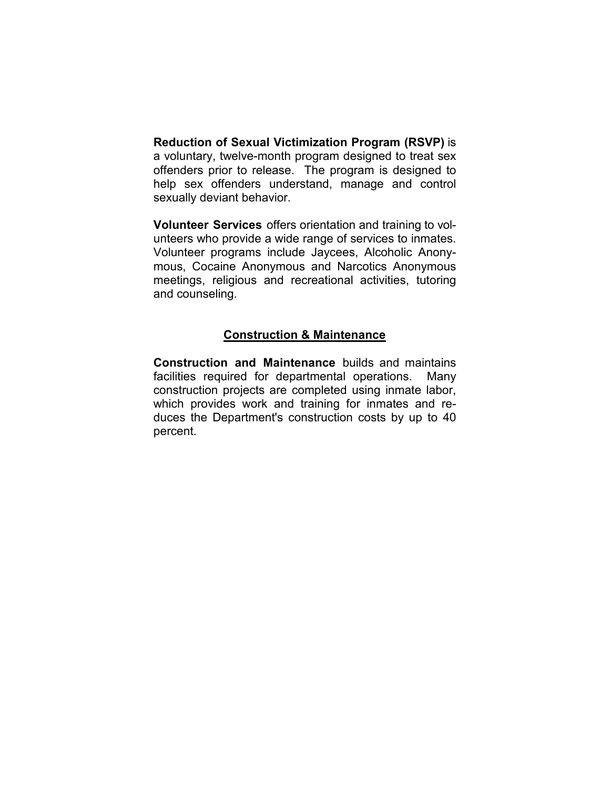Reduction of Sexual Victimization Program (RSVP) is a voluntary, twelve-month program designed to treat sex offenders prior to release. The program is designed to help sex offenders understand, manage and control sexually deviant behavior.

Volunteer Services offers orientation and training to volunteers who provide a wide range of services to inmates. Volunteer programs include Jaycees, Alcoholic Anonymous, Cocaine Anonymous and Narcotics Anonymous meetings, religious and recreational activities, tutoring and counseling.

## Construction & Maintenance

Construction and Maintenance builds and maintains facilities required for departmental operations. Many construction projects are completed using inmate labor, which provides work and training for inmates and reduces the Department's construction costs by up to 40 percent.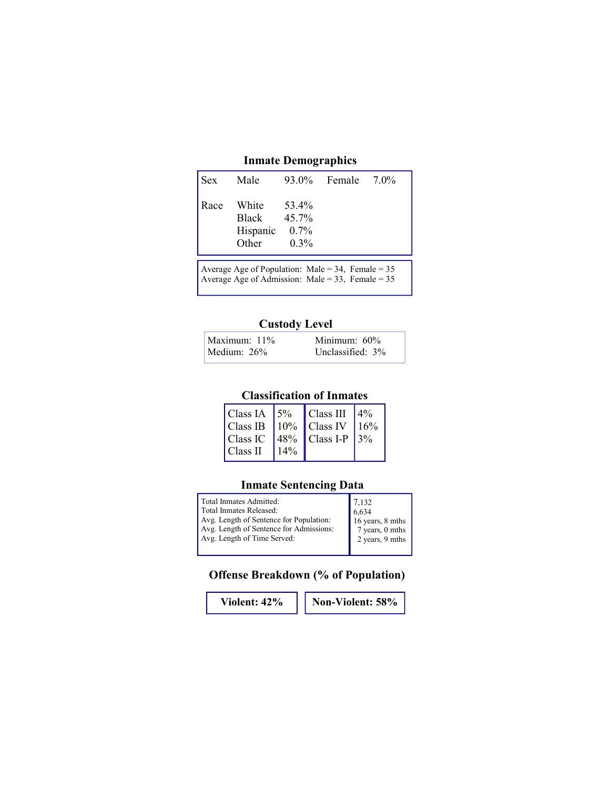## Inmate Demographics

| Sex  | Male                                       |                                      | 93.0% Female 7.0% |  |
|------|--------------------------------------------|--------------------------------------|-------------------|--|
| Race | White<br><b>Black</b><br>Hispanic<br>Other | 53.4%<br>45.7%<br>$0.7\%$<br>$0.3\%$ |                   |  |

Average Age of Population: Male =  $34$ , Female =  $35$ Average Age of Admission: Male = 33, Female = 35

### Custody Level

| Maximum: 11% | Minimum: $60\%$  |
|--------------|------------------|
| Medium: 26%  | Unclassified: 3% |

## Classification of Inmates

|          |        | Class IA $\left 5\%\right $ Class III $\left 4\%\right $<br>Class IB   $10\%$   Class IV   $16\%$ |  |
|----------|--------|---------------------------------------------------------------------------------------------------|--|
|          |        | Class IC $ 48\% $ Class I-P $ 3\% $                                                               |  |
| Class II | $14\%$ |                                                                                                   |  |

## Inmate Sentencing Data

| Total Inmates Admitted:                 | 7.132            |
|-----------------------------------------|------------------|
| Total Inmates Released:                 | 6.634            |
| Avg. Length of Sentence for Population: | 16 years, 8 mths |
| Avg. Length of Sentence for Admissions: | 7 years, 0 mths  |
| Avg. Length of Time Served:             | 2 years, 9 mths  |
|                                         |                  |

## Offense Breakdown (% of Population)

Violent:  $42\%$  | Non-Violent:  $58\%$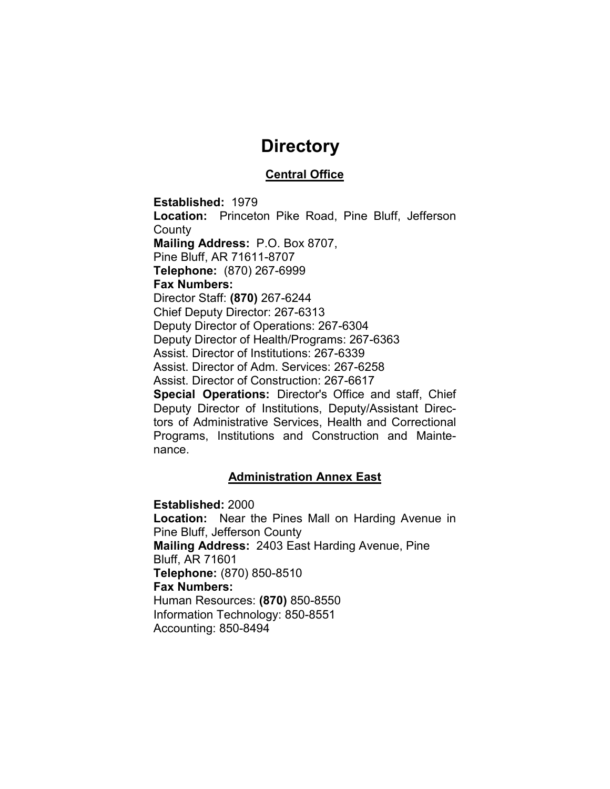## **Directory**

## Central Office

Established: 1979 Location: Princeton Pike Road, Pine Bluff, Jefferson **County** Mailing Address: P.O. Box 8707, Pine Bluff, AR 71611-8707 Telephone: (870) 267-6999 Fax Numbers: Director Staff: (870) 267-6244 Chief Deputy Director: 267-6313 Deputy Director of Operations: 267-6304 Deputy Director of Health/Programs: 267-6363 Assist. Director of Institutions: 267-6339 Assist. Director of Adm. Services: 267-6258 Assist. Director of Construction: 267-6617 Special Operations: Director's Office and staff, Chief Deputy Director of Institutions, Deputy/Assistant Directors of Administrative Services, Health and Correctional Programs, Institutions and Construction and Maintenance.

### Administration Annex East

Established: 2000 Location: Near the Pines Mall on Harding Avenue in Pine Bluff, Jefferson County Mailing Address: 2403 East Harding Avenue, Pine Bluff, AR 71601 Telephone: (870) 850-8510 Fax Numbers: Human Resources: (870) 850-8550 Information Technology: 850-8551 Accounting: 850-8494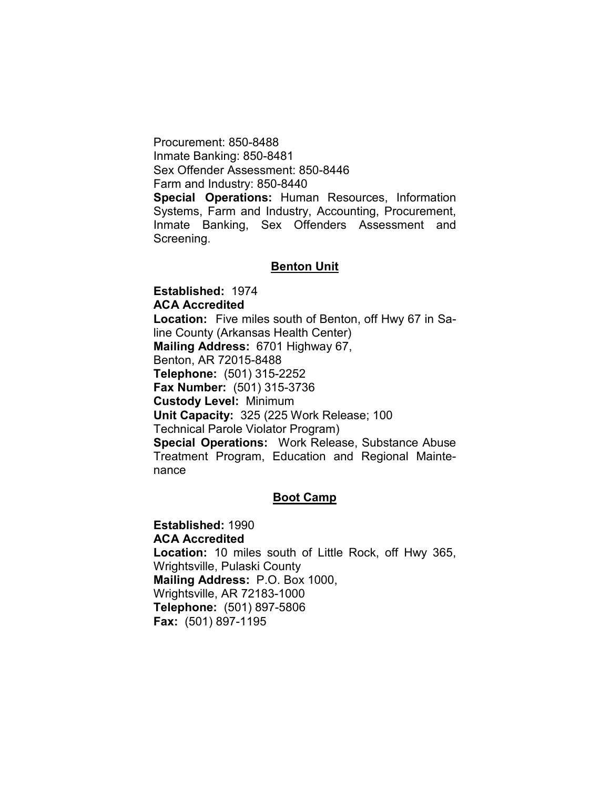Procurement: 850-8488 Inmate Banking: 850-8481 Sex Offender Assessment: 850-8446 Farm and Industry: 850-8440 Special Operations: Human Resources, Information Systems, Farm and Industry, Accounting, Procurement, Inmate Banking, Sex Offenders Assessment and Screening.

#### Benton Unit

Established: 1974 ACA Accredited Location: Five miles south of Benton, off Hwy 67 in Saline County (Arkansas Health Center) Mailing Address: 6701 Highway 67, Benton, AR 72015-8488 Telephone: (501) 315-2252 Fax Number: (501) 315-3736 Custody Level: Minimum Unit Capacity: 325 (225 Work Release; 100 Technical Parole Violator Program) Special Operations: Work Release, Substance Abuse Treatment Program, Education and Regional Maintenance

#### Boot Camp

Established: 1990 ACA Accredited Location: 10 miles south of Little Rock, off Hwy 365, Wrightsville, Pulaski County Mailing Address: P.O. Box 1000, Wrightsville, AR 72183-1000 Telephone: (501) 897-5806 Fax: (501) 897-1195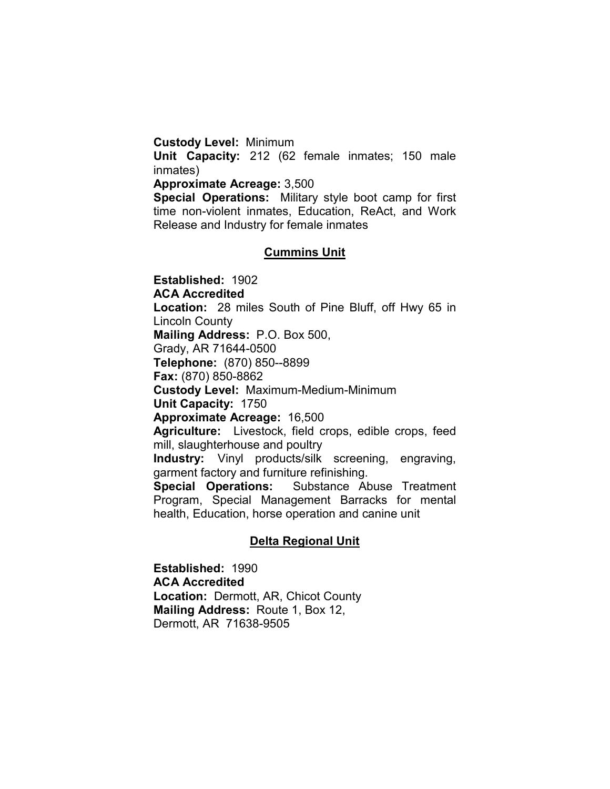#### Custody Level: Minimum

Unit Capacity: 212 (62 female inmates; 150 male inmates)

#### Approximate Acreage: 3,500

Special Operations: Military style boot camp for first time non-violent inmates, Education, ReAct, and Work Release and Industry for female inmates

#### Cummins Unit

Established: 1902 ACA Accredited Location: 28 miles South of Pine Bluff, off Hwy 65 in Lincoln County Mailing Address: P.O. Box 500, Grady, AR 71644-0500 Telephone: (870) 850--8899 Fax: (870) 850-8862 Custody Level: Maximum-Medium-Minimum Unit Capacity: 1750 Approximate Acreage: 16,500 Agriculture: Livestock, field crops, edible crops, feed mill, slaughterhouse and poultry Industry: Vinyl products/silk screening, engraving, garment factory and furniture refinishing. Special Operations: Substance Abuse Treatment Program, Special Management Barracks for mental health, Education, horse operation and canine unit

#### Delta Regional Unit

Established: 1990 ACA Accredited Location: Dermott, AR, Chicot County Mailing Address: Route 1, Box 12, Dermott, AR 71638-9505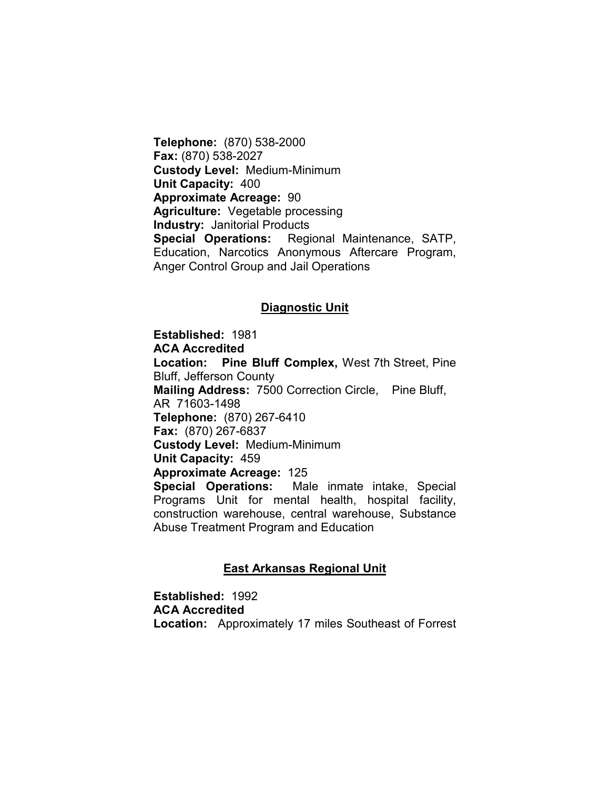Telephone: (870) 538-2000 Fax: (870) 538-2027 Custody Level: Medium-Minimum Unit Capacity: 400 Approximate Acreage: 90 Agriculture: Vegetable processing Industry: Janitorial Products Special Operations: Regional Maintenance, SATP, Education, Narcotics Anonymous Aftercare Program, Anger Control Group and Jail Operations

#### Diagnostic Unit

Established: 1981 ACA Accredited Location: Pine Bluff Complex, West 7th Street, Pine Bluff, Jefferson County Mailing Address: 7500 Correction Circle, Pine Bluff, AR 71603-1498 Telephone: (870) 267-6410 Fax: (870) 267-6837 Custody Level: Medium-Minimum Unit Capacity: 459 Approximate Acreage: 125 Special Operations: Male inmate intake, Special Programs Unit for mental health, hospital facility, construction warehouse, central warehouse, Substance Abuse Treatment Program and Education

#### East Arkansas Regional Unit

Established: 1992 ACA Accredited Location: Approximately 17 miles Southeast of Forrest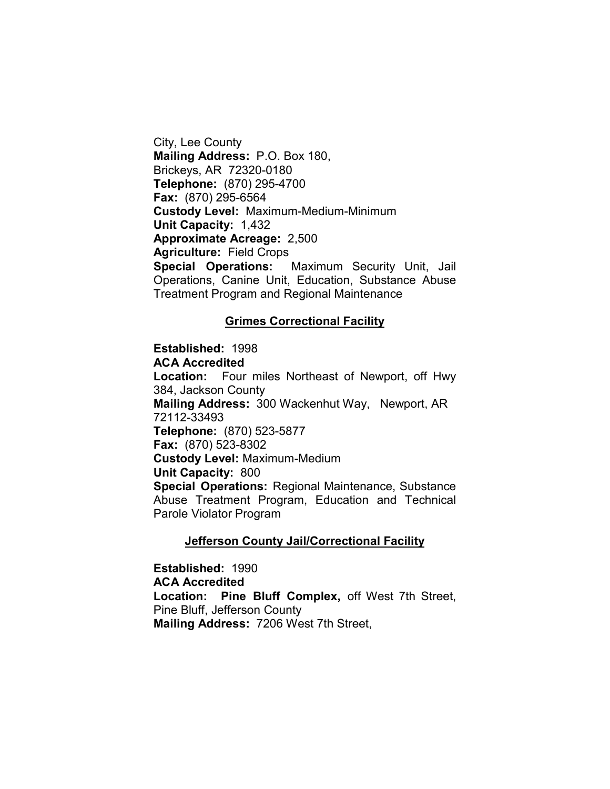City, Lee County Mailing Address: P.O. Box 180, Brickeys, AR 72320-0180 Telephone: (870) 295-4700 Fax: (870) 295-6564 Custody Level: Maximum-Medium-Minimum Unit Capacity: 1,432 Approximate Acreage: 2,500 Agriculture: Field Crops Special Operations: Maximum Security Unit, Jail Operations, Canine Unit, Education, Substance Abuse Treatment Program and Regional Maintenance

#### Grimes Correctional Facility

Established: 1998 ACA Accredited Location: Four miles Northeast of Newport, off Hwy 384, Jackson County Mailing Address: 300 Wackenhut Way, Newport, AR 72112-33493 Telephone: (870) 523-5877 Fax: (870) 523-8302 Custody Level: Maximum-Medium Unit Capacity: 800 Special Operations: Regional Maintenance, Substance Abuse Treatment Program, Education and Technical Parole Violator Program

#### **Jefferson County Jail/Correctional Facility**

Established: 1990 ACA Accredited Location: Pine Bluff Complex, off West 7th Street, Pine Bluff, Jefferson County Mailing Address: 7206 West 7th Street,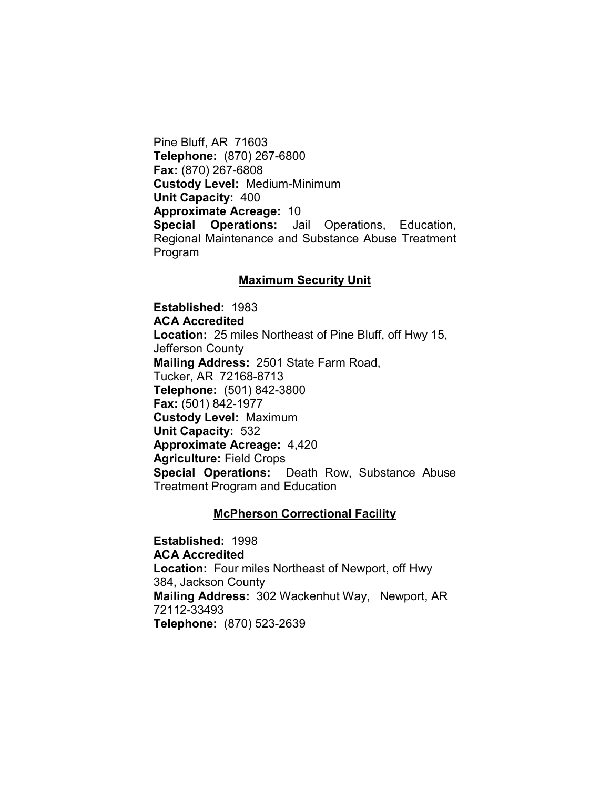Pine Bluff, AR 71603 Telephone: (870) 267-6800 Fax: (870) 267-6808 Custody Level: Medium-Minimum Unit Capacity: 400 Approximate Acreage: 10 Special Operations: Jail Operations, Education, Regional Maintenance and Substance Abuse Treatment Program

#### Maximum Security Unit

Established: 1983 ACA Accredited Location: 25 miles Northeast of Pine Bluff, off Hwy 15, Jefferson County Mailing Address: 2501 State Farm Road, Tucker, AR 72168-8713 Telephone: (501) 842-3800 Fax: (501) 842-1977 Custody Level: Maximum Unit Capacity: 532 Approximate Acreage: 4,420 Agriculture: Field Crops Special Operations: Death Row, Substance Abuse Treatment Program and Education

#### **McPherson Correctional Facility**

Established: 1998 ACA Accredited Location: Four miles Northeast of Newport, off Hwy 384, Jackson County Mailing Address: 302 Wackenhut Way, Newport, AR 72112-33493 Telephone: (870) 523-2639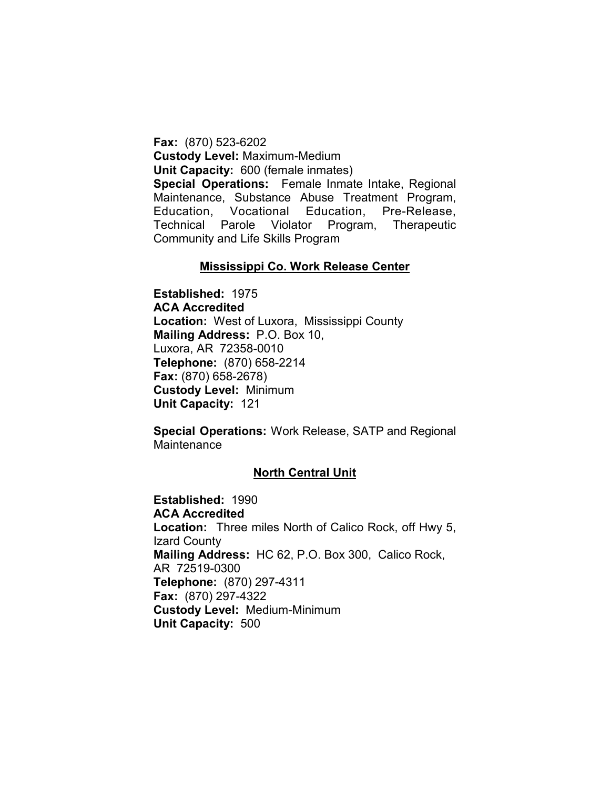Fax: (870) 523-6202 Custody Level: Maximum-Medium Unit Capacity: 600 (female inmates) Special Operations: Female Inmate Intake, Regional Maintenance, Substance Abuse Treatment Program, Education, Vocational Education, Pre-Release, Technical Parole Violator Program, Therapeutic Community and Life Skills Program

#### Mississippi Co. Work Release Center

Established: 1975 ACA Accredited Location: West of Luxora, Mississippi County Mailing Address: P.O. Box 10, Luxora, AR 72358-0010 Telephone: (870) 658-2214 Fax: (870) 658-2678) Custody Level: Minimum Unit Capacity: 121

Special Operations: Work Release, SATP and Regional **Maintenance** 

#### North Central Unit

Established: 1990 ACA Accredited Location: Three miles North of Calico Rock, off Hwy 5, Izard County Mailing Address: HC 62, P.O. Box 300, Calico Rock, AR 72519-0300 Telephone: (870) 297-4311 Fax: (870) 297-4322 Custody Level: Medium-Minimum Unit Capacity: 500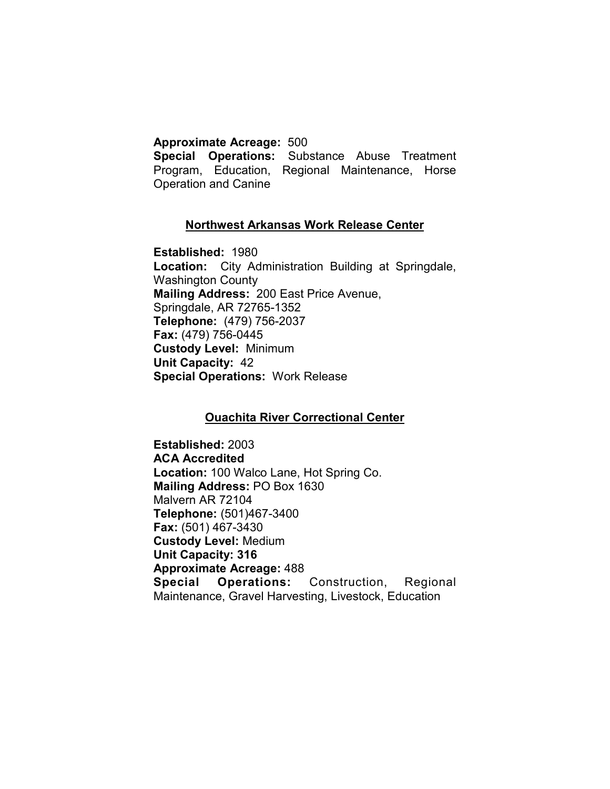#### Approximate Acreage: 500

Special Operations: Substance Abuse Treatment Program, Education, Regional Maintenance, Horse Operation and Canine

### Northwest Arkansas Work Release Center

Established: 1980 Location: City Administration Building at Springdale, Washington County Mailing Address: 200 East Price Avenue, Springdale, AR 72765-1352 Telephone: (479) 756-2037 Fax: (479) 756-0445 Custody Level: Minimum Unit Capacity: 42 Special Operations: Work Release

## Ouachita River Correctional Center

Established: 2003 ACA Accredited Location: 100 Walco Lane, Hot Spring Co. Mailing Address: PO Box 1630 Malvern AR 72104 Telephone: (501)467-3400 Fax: (501) 467-3430 Custody Level: Medium Unit Capacity: 316 Approximate Acreage: 488 Special Operations: Construction, Regional Maintenance, Gravel Harvesting, Livestock, Education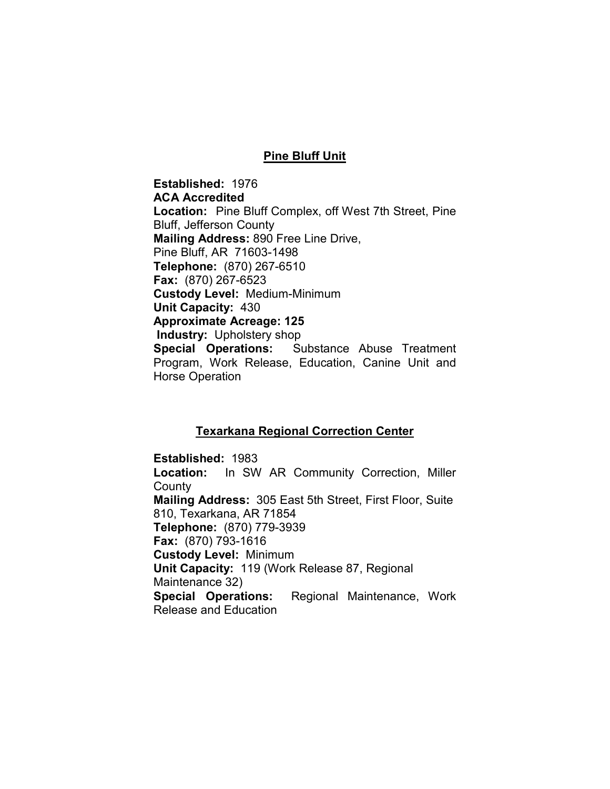#### Pine Bluff Unit

Established: 1976 ACA Accredited Location: Pine Bluff Complex, off West 7th Street, Pine Bluff, Jefferson County Mailing Address: 890 Free Line Drive, Pine Bluff, AR 71603-1498 Telephone: (870) 267-6510 Fax: (870) 267-6523 Custody Level: Medium-Minimum Unit Capacity: 430 Approximate Acreage: 125 Industry: Upholstery shop Special Operations: Substance Abuse Treatment Program, Work Release, Education, Canine Unit and Horse Operation

#### Texarkana Regional Correction Center

Established: 1983 Location: In SW AR Community Correction, Miller County Mailing Address: 305 East 5th Street, First Floor, Suite 810, Texarkana, AR 71854 Telephone: (870) 779-3939 Fax: (870) 793-1616 Custody Level: Minimum Unit Capacity: 119 (Work Release 87, Regional Maintenance 32) Special Operations: Regional Maintenance, Work Release and Education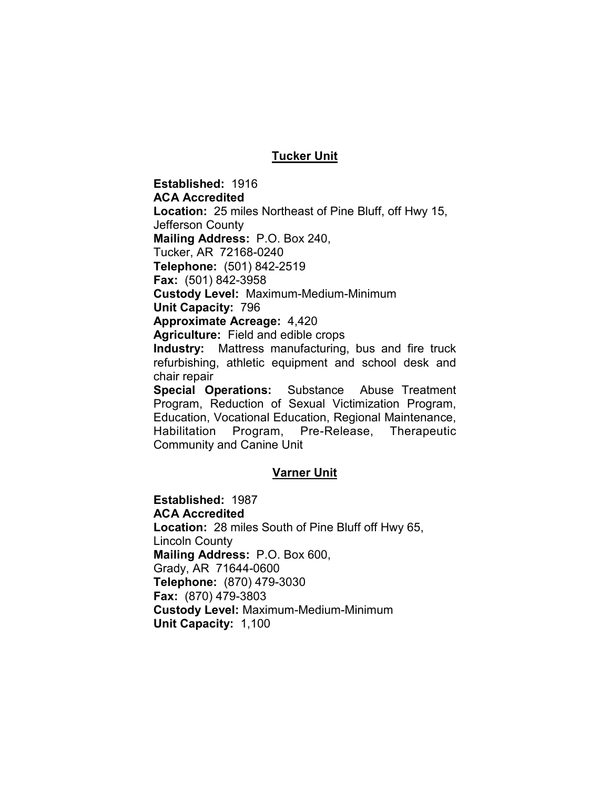#### Tucker Unit

Established: 1916 ACA Accredited Location: 25 miles Northeast of Pine Bluff, off Hwy 15, Jefferson County Mailing Address: P.O. Box 240, Tucker, AR 72168-0240 Telephone: (501) 842-2519 Fax: (501) 842-3958 Custody Level: Maximum-Medium-Minimum Unit Capacity: 796 Approximate Acreage: 4,420 Agriculture: Field and edible crops Industry: Mattress manufacturing, bus and fire truck refurbishing, athletic equipment and school desk and chair repair

Special Operations: Substance Abuse Treatment Program, Reduction of Sexual Victimization Program, Education, Vocational Education, Regional Maintenance, Habilitation Program, Pre-Release, Therapeutic Community and Canine Unit

#### Varner Unit

Established: 1987 ACA Accredited Location: 28 miles South of Pine Bluff off Hwy 65, Lincoln County Mailing Address: P.O. Box 600, Grady, AR 71644-0600 Telephone: (870) 479-3030 Fax: (870) 479-3803 Custody Level: Maximum-Medium-Minimum Unit Capacity: 1,100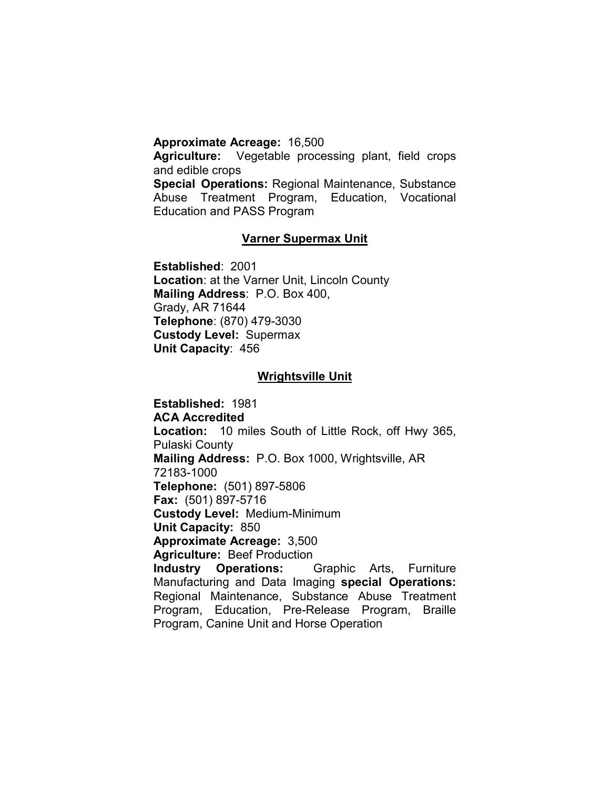#### Approximate Acreage: 16,500

Agriculture: Vegetable processing plant, field crops and edible crops

Special Operations: Regional Maintenance, Substance Abuse Treatment Program, Education, Vocational Education and PASS Program

#### Varner Supermax Unit

Established: 2001 Location: at the Varner Unit, Lincoln County Mailing Address: P.O. Box 400, Grady, AR 71644 Telephone: (870) 479-3030 Custody Level: Supermax Unit Capacity: 456

#### Wrightsville Unit

Established: 1981 ACA Accredited Location: 10 miles South of Little Rock, off Hwy 365, Pulaski County Mailing Address: P.O. Box 1000, Wrightsville, AR 72183-1000 Telephone: (501) 897-5806 Fax: (501) 897-5716 Custody Level: Medium-Minimum Unit Capacity: 850 Approximate Acreage: 3,500 Agriculture: Beef Production Industry Operations: Graphic Arts, Furniture Manufacturing and Data Imaging special Operations: Regional Maintenance, Substance Abuse Treatment Program, Education, Pre-Release Program, Braille Program, Canine Unit and Horse Operation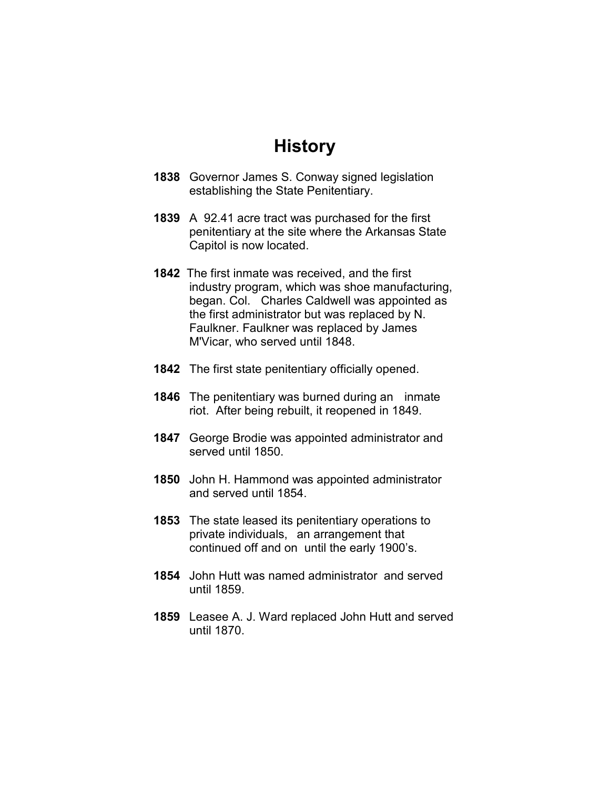## History

- 1838 Governor James S. Conway signed legislation establishing the State Penitentiary.
- 1839 A 92.41 acre tract was purchased for the first penitentiary at the site where the Arkansas State Capitol is now located.
- 1842 The first inmate was received, and the first industry program, which was shoe manufacturing, began. Col. Charles Caldwell was appointed as the first administrator but was replaced by N. Faulkner. Faulkner was replaced by James M'Vicar, who served until 1848.
- 1842 The first state penitentiary officially opened.
- 1846 The penitentiary was burned during an inmate riot. After being rebuilt, it reopened in 1849.
- 1847 George Brodie was appointed administrator and served until 1850.
- 1850 John H. Hammond was appointed administrator and served until 1854.
- 1853 The state leased its penitentiary operations to private individuals, an arrangement that continued off and on until the early 1900's.
- 1854 John Hutt was named administrator and served until 1859.
- 1859 Leasee A. J. Ward replaced John Hutt and served until 1870.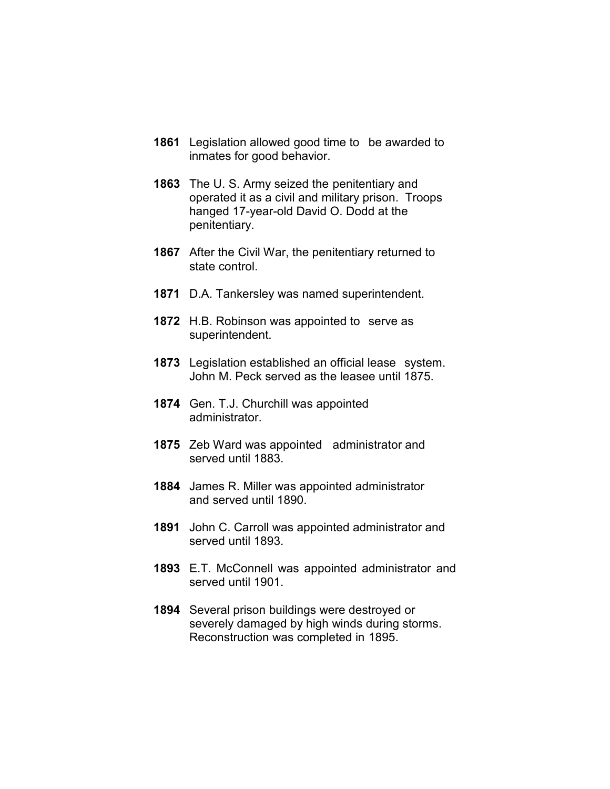- 1861 Legislation allowed good time to be awarded to inmates for good behavior.
- 1863 The U. S. Army seized the penitentiary and operated it as a civil and military prison. Troops hanged 17-year-old David O. Dodd at the penitentiary.
- 1867 After the Civil War, the penitentiary returned to state control.
- 1871 D.A. Tankersley was named superintendent.
- 1872 H.B. Robinson was appointed to serve as superintendent.
- 1873 Legislation established an official lease system. John M. Peck served as the leasee until 1875.
- 1874 Gen. T.J. Churchill was appointed administrator.
- 1875 Zeb Ward was appointed administrator and served until 1883.
- 1884 James R. Miller was appointed administrator and served until 1890.
- 1891 John C. Carroll was appointed administrator and served until 1893.
- 1893 E.T. McConnell was appointed administrator and served until 1901.
- 1894 Several prison buildings were destroyed or severely damaged by high winds during storms. Reconstruction was completed in 1895.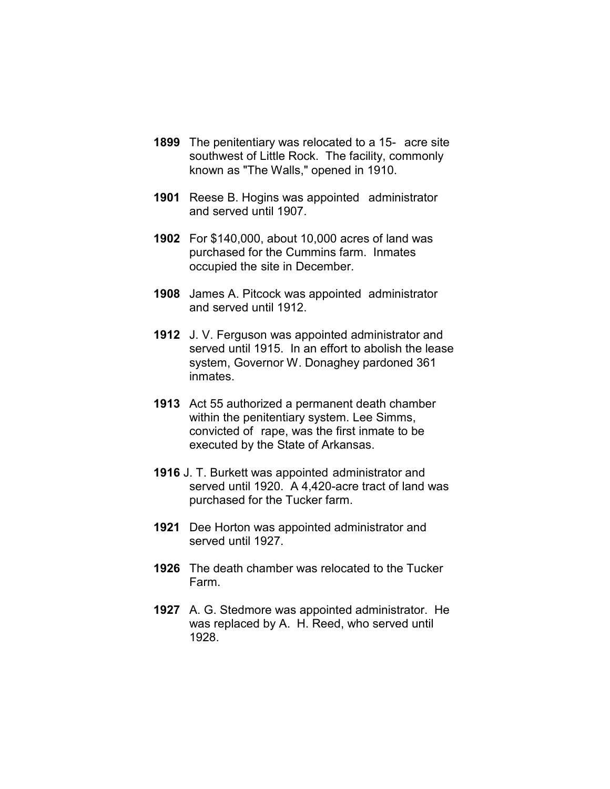- 1899 The penitentiary was relocated to a 15- acre site southwest of Little Rock. The facility, commonly known as "The Walls," opened in 1910.
- 1901 Reese B. Hogins was appointed administrator and served until 1907.
- 1902 For \$140,000, about 10,000 acres of land was purchased for the Cummins farm. Inmates occupied the site in December.
- 1908 James A. Pitcock was appointed administrator and served until 1912.
- 1912 J. V. Ferguson was appointed administrator and served until 1915. In an effort to abolish the lease system, Governor W. Donaghey pardoned 361 inmates.
- 1913 Act 55 authorized a permanent death chamber within the penitentiary system. Lee Simms, convicted of rape, was the first inmate to be executed by the State of Arkansas.
- 1916 J. T. Burkett was appointed administrator and served until 1920. A 4,420-acre tract of land was purchased for the Tucker farm.
- 1921 Dee Horton was appointed administrator and served until 1927.
- 1926 The death chamber was relocated to the Tucker Farm.
- 1927 A. G. Stedmore was appointed administrator. He was replaced by A. H. Reed, who served until 1928.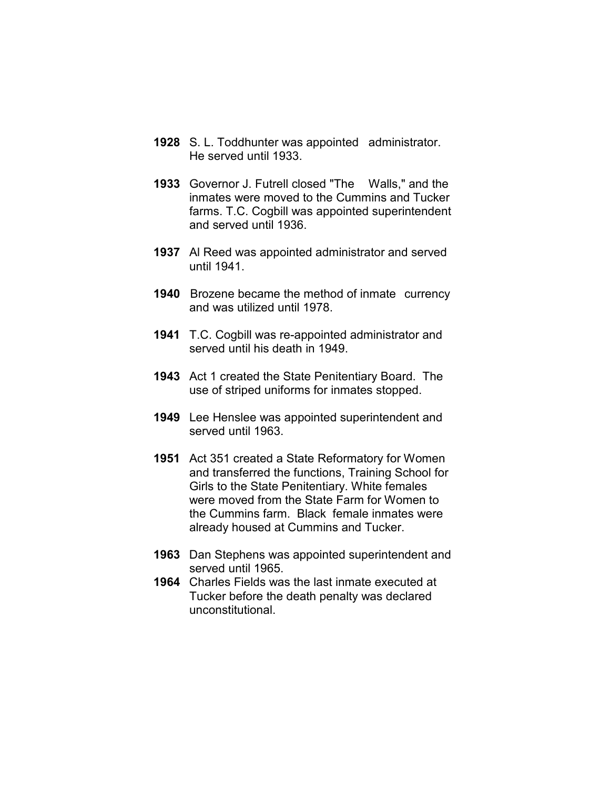- 1928 S. L. Toddhunter was appointed administrator. He served until 1933.
- 1933 Governor J. Futrell closed "The Walls," and the inmates were moved to the Cummins and Tucker farms. T.C. Cogbill was appointed superintendent and served until 1936.
- 1937 Al Reed was appointed administrator and served until 1941.
- 1940 Brozene became the method of inmate currency and was utilized until 1978.
- 1941 T.C. Cogbill was re-appointed administrator and served until his death in 1949.
- 1943 Act 1 created the State Penitentiary Board. The use of striped uniforms for inmates stopped.
- 1949 Lee Henslee was appointed superintendent and served until 1963.
- 1951 Act 351 created a State Reformatory for Women and transferred the functions, Training School for Girls to the State Penitentiary. White females were moved from the State Farm for Women to the Cummins farm. Black female inmates were already housed at Cummins and Tucker.
- 1963 Dan Stephens was appointed superintendent and served until 1965.
- 1964 Charles Fields was the last inmate executed at Tucker before the death penalty was declared unconstitutional.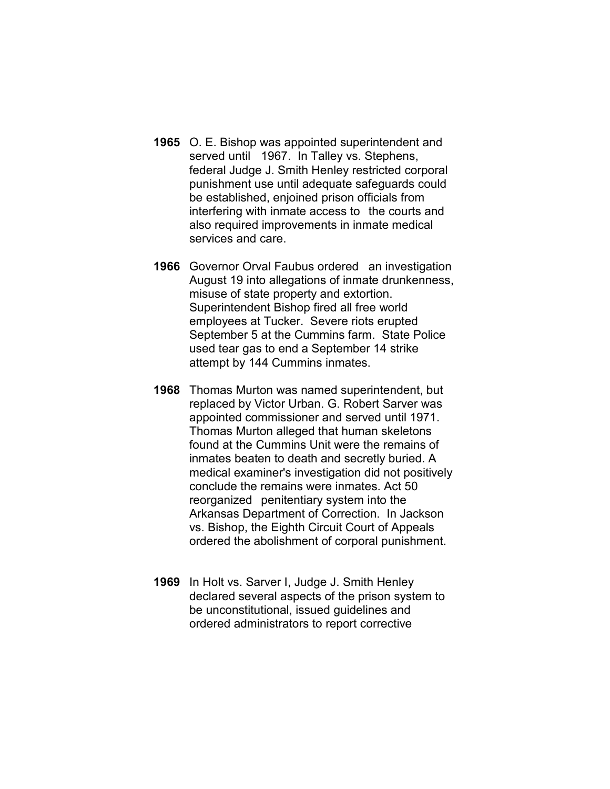- 1965 O. E. Bishop was appointed superintendent and served until 1967. In Talley vs. Stephens, federal Judge J. Smith Henley restricted corporal punishment use until adequate safeguards could be established, enjoined prison officials from interfering with inmate access to the courts and also required improvements in inmate medical services and care.
- 1966 Governor Orval Faubus ordered an investigation August 19 into allegations of inmate drunkenness, misuse of state property and extortion. Superintendent Bishop fired all free world employees at Tucker. Severe riots erupted September 5 at the Cummins farm. State Police used tear gas to end a September 14 strike attempt by 144 Cummins inmates.
- 1968 Thomas Murton was named superintendent, but replaced by Victor Urban. G. Robert Sarver was appointed commissioner and served until 1971. Thomas Murton alleged that human skeletons found at the Cummins Unit were the remains of inmates beaten to death and secretly buried. A medical examiner's investigation did not positively conclude the remains were inmates. Act 50 reorganized penitentiary system into the Arkansas Department of Correction. In Jackson vs. Bishop, the Eighth Circuit Court of Appeals ordered the abolishment of corporal punishment.
- 1969 In Holt vs. Sarver I, Judge J. Smith Henley declared several aspects of the prison system to be unconstitutional, issued guidelines and ordered administrators to report corrective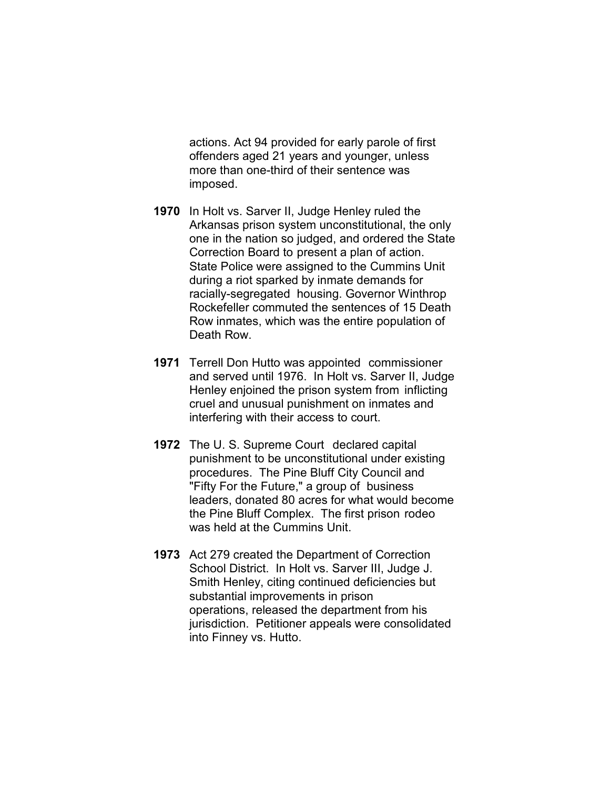actions. Act 94 provided for early parole of first offenders aged 21 years and younger, unless more than one-third of their sentence was imposed.

- 1970 In Holt vs. Sarver II, Judge Henley ruled the Arkansas prison system unconstitutional, the only one in the nation so judged, and ordered the State Correction Board to present a plan of action. State Police were assigned to the Cummins Unit during a riot sparked by inmate demands for racially-segregated housing. Governor Winthrop Rockefeller commuted the sentences of 15 Death Row inmates, which was the entire population of Death Row.
- 1971 Terrell Don Hutto was appointed commissioner and served until 1976. In Holt vs. Sarver II, Judge Henley enjoined the prison system from inflicting cruel and unusual punishment on inmates and interfering with their access to court.
- 1972 The U.S. Supreme Court declared capital punishment to be unconstitutional under existing procedures. The Pine Bluff City Council and "Fifty For the Future," a group of business leaders, donated 80 acres for what would become the Pine Bluff Complex. The first prison rodeo was held at the Cummins Unit.
- 1973 Act 279 created the Department of Correction School District. In Holt vs. Sarver III, Judge J. Smith Henley, citing continued deficiencies but substantial improvements in prison operations, released the department from his jurisdiction. Petitioner appeals were consolidated into Finney vs. Hutto.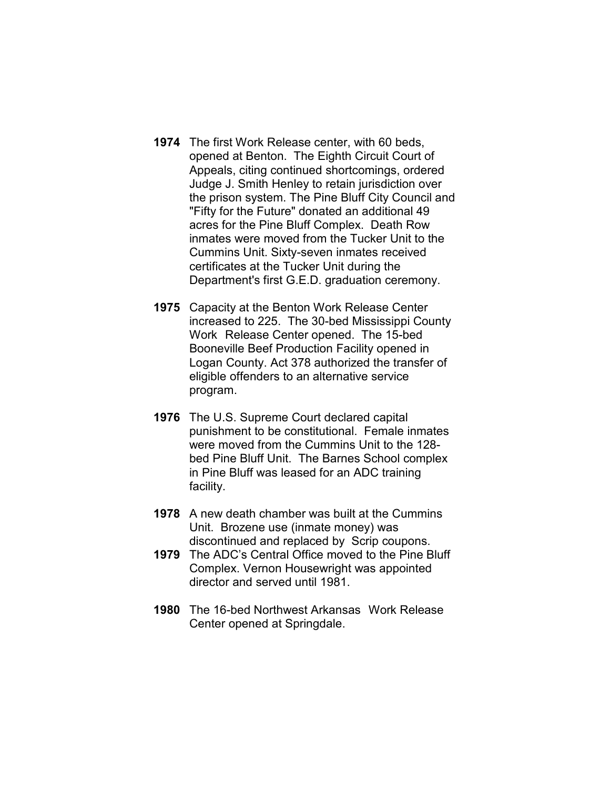- 1974 The first Work Release center, with 60 beds, opened at Benton. The Eighth Circuit Court of Appeals, citing continued shortcomings, ordered Judge J. Smith Henley to retain jurisdiction over the prison system. The Pine Bluff City Council and "Fifty for the Future" donated an additional 49 acres for the Pine Bluff Complex. Death Row inmates were moved from the Tucker Unit to the Cummins Unit. Sixty-seven inmates received certificates at the Tucker Unit during the Department's first G.E.D. graduation ceremony.
- 1975 Capacity at the Benton Work Release Center increased to 225. The 30-bed Mississippi County Work Release Center opened. The 15-bed Booneville Beef Production Facility opened in Logan County. Act 378 authorized the transfer of eligible offenders to an alternative service program.
- 1976 The U.S. Supreme Court declared capital punishment to be constitutional. Female inmates were moved from the Cummins Unit to the 128 bed Pine Bluff Unit. The Barnes School complex in Pine Bluff was leased for an ADC training facility.
- 1978 A new death chamber was built at the Cummins Unit. Brozene use (inmate money) was discontinued and replaced by Scrip coupons.
- 1979 The ADC's Central Office moved to the Pine Bluff Complex. Vernon Housewright was appointed director and served until 1981.
- 1980 The 16-bed Northwest Arkansas Work Release Center opened at Springdale.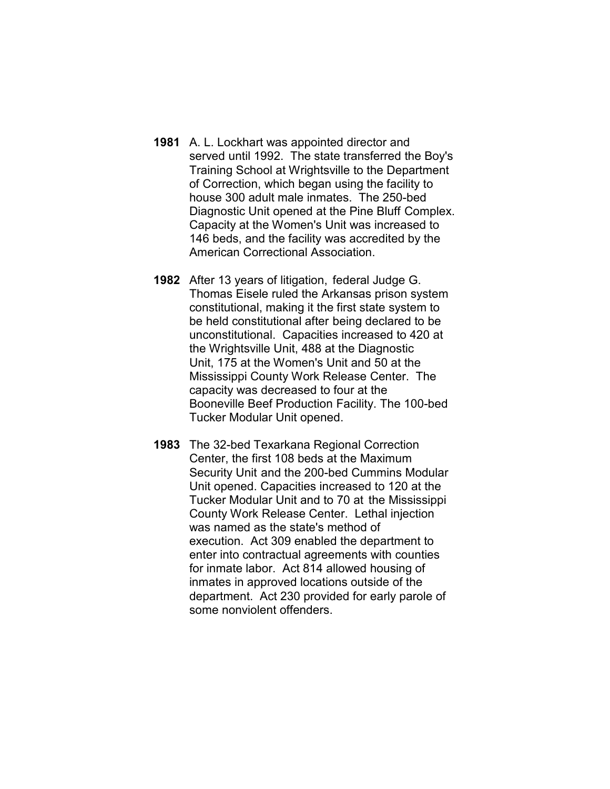- 1981 A. L. Lockhart was appointed director and served until 1992. The state transferred the Boy's Training School at Wrightsville to the Department of Correction, which began using the facility to house 300 adult male inmates. The 250-bed Diagnostic Unit opened at the Pine Bluff Complex. Capacity at the Women's Unit was increased to 146 beds, and the facility was accredited by the American Correctional Association.
- 1982 After 13 years of litigation, federal Judge G. Thomas Eisele ruled the Arkansas prison system constitutional, making it the first state system to be held constitutional after being declared to be unconstitutional. Capacities increased to 420 at the Wrightsville Unit, 488 at the Diagnostic Unit, 175 at the Women's Unit and 50 at the Mississippi County Work Release Center. The capacity was decreased to four at the Booneville Beef Production Facility. The 100-bed Tucker Modular Unit opened.
- 1983 The 32-bed Texarkana Regional Correction Center, the first 108 beds at the Maximum Security Unit and the 200-bed Cummins Modular Unit opened. Capacities increased to 120 at the Tucker Modular Unit and to 70 at the Mississippi County Work Release Center. Lethal injection was named as the state's method of execution. Act 309 enabled the department to enter into contractual agreements with counties for inmate labor. Act 814 allowed housing of inmates in approved locations outside of the department. Act 230 provided for early parole of some nonviolent offenders.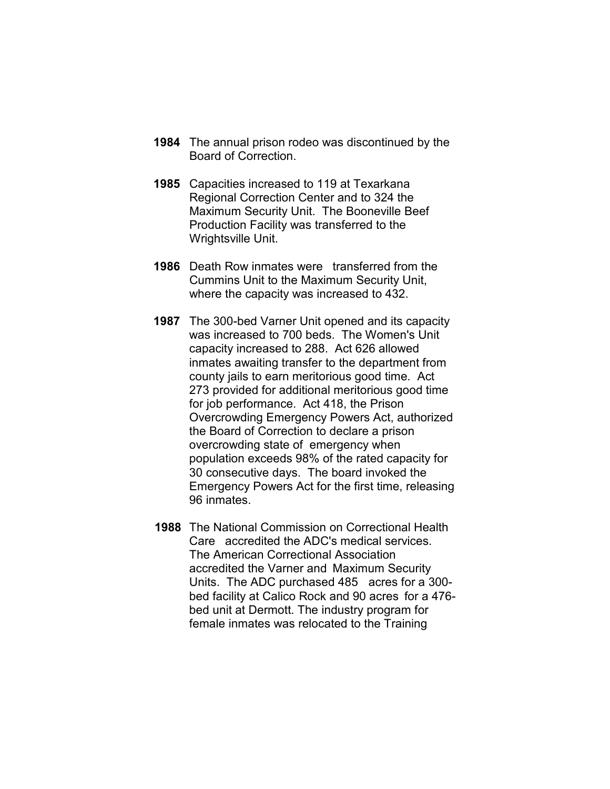- 1984 The annual prison rodeo was discontinued by the Board of Correction.
- 1985 Capacities increased to 119 at Texarkana Regional Correction Center and to 324 the Maximum Security Unit. The Booneville Beef Production Facility was transferred to the Wrightsville Unit.
- 1986 Death Row inmates were transferred from the Cummins Unit to the Maximum Security Unit, where the capacity was increased to 432.
- 1987 The 300-bed Varner Unit opened and its capacity was increased to 700 beds. The Women's Unit capacity increased to 288. Act 626 allowed inmates awaiting transfer to the department from county jails to earn meritorious good time. Act 273 provided for additional meritorious good time for job performance. Act 418, the Prison Overcrowding Emergency Powers Act, authorized the Board of Correction to declare a prison overcrowding state of emergency when population exceeds 98% of the rated capacity for 30 consecutive days. The board invoked the Emergency Powers Act for the first time, releasing 96 inmates.
- 1988 The National Commission on Correctional Health Care accredited the ADC's medical services. The American Correctional Association accredited the Varner and Maximum Security Units. The ADC purchased 485 acres for a 300 bed facility at Calico Rock and 90 acres for a 476 bed unit at Dermott. The industry program for female inmates was relocated to the Training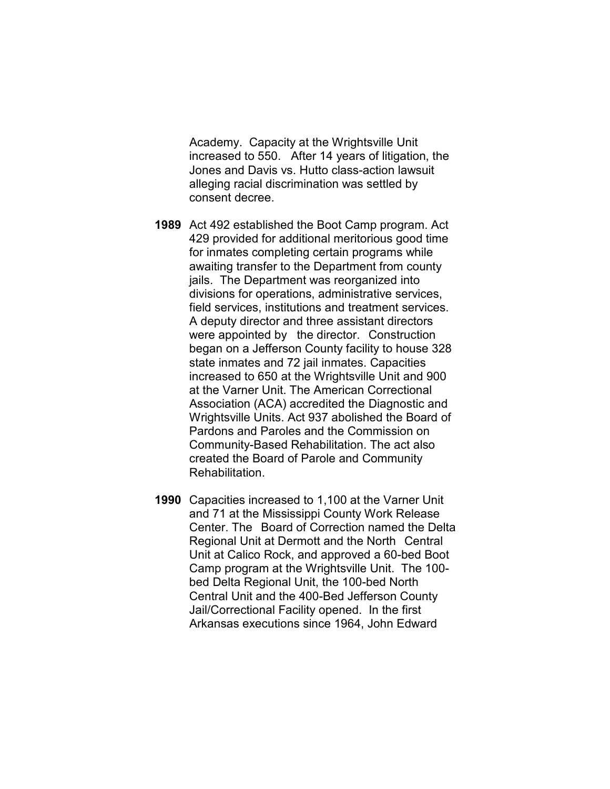Academy. Capacity at the Wrightsville Unit increased to 550. After 14 years of litigation, the Jones and Davis vs. Hutto class-action lawsuit alleging racial discrimination was settled by consent decree.

- 1989 Act 492 established the Boot Camp program. Act 429 provided for additional meritorious good time for inmates completing certain programs while awaiting transfer to the Department from county jails. The Department was reorganized into divisions for operations, administrative services, field services, institutions and treatment services. A deputy director and three assistant directors were appointed by the director. Construction began on a Jefferson County facility to house 328 state inmates and 72 jail inmates. Capacities increased to 650 at the Wrightsville Unit and 900 at the Varner Unit. The American Correctional Association (ACA) accredited the Diagnostic and Wrightsville Units. Act 937 abolished the Board of Pardons and Paroles and the Commission on Community-Based Rehabilitation. The act also created the Board of Parole and Community Rehabilitation.
- 1990 Capacities increased to 1,100 at the Varner Unit and 71 at the Mississippi County Work Release Center. The Board of Correction named the Delta Regional Unit at Dermott and the North Central Unit at Calico Rock, and approved a 60-bed Boot Camp program at the Wrightsville Unit. The 100 bed Delta Regional Unit, the 100-bed North Central Unit and the 400-Bed Jefferson County Jail/Correctional Facility opened. In the first Arkansas executions since 1964, John Edward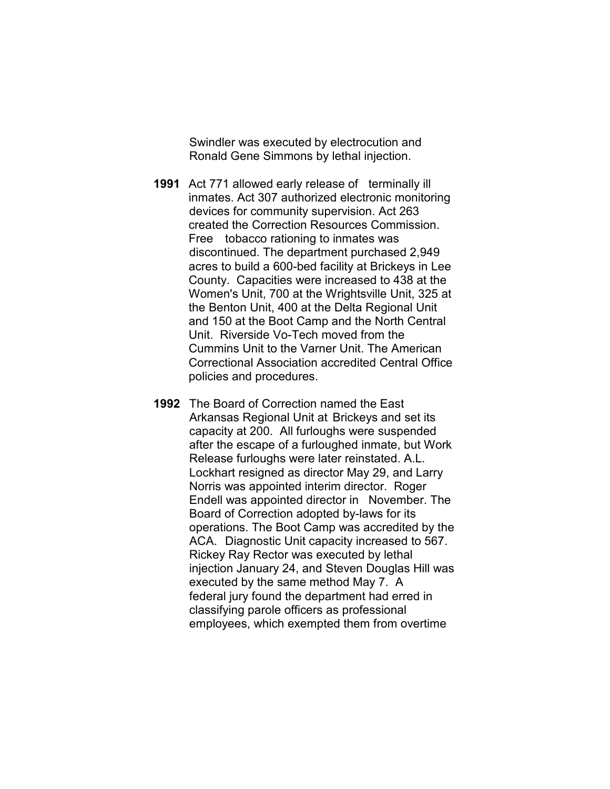Swindler was executed by electrocution and Ronald Gene Simmons by lethal injection.

- 1991 Act 771 allowed early release of terminally ill inmates. Act 307 authorized electronic monitoring devices for community supervision. Act 263 created the Correction Resources Commission. Free tobacco rationing to inmates was discontinued. The department purchased 2,949 acres to build a 600-bed facility at Brickeys in Lee County. Capacities were increased to 438 at the Women's Unit, 700 at the Wrightsville Unit, 325 at the Benton Unit, 400 at the Delta Regional Unit and 150 at the Boot Camp and the North Central Unit. Riverside Vo-Tech moved from the Cummins Unit to the Varner Unit. The American Correctional Association accredited Central Office policies and procedures.
- 1992 The Board of Correction named the East Arkansas Regional Unit at Brickeys and set its capacity at 200. All furloughs were suspended after the escape of a furloughed inmate, but Work Release furloughs were later reinstated. A.L. Lockhart resigned as director May 29, and Larry Norris was appointed interim director. Roger Endell was appointed director in November. The Board of Correction adopted by-laws for its operations. The Boot Camp was accredited by the ACA. Diagnostic Unit capacity increased to 567. Rickey Ray Rector was executed by lethal injection January 24, and Steven Douglas Hill was executed by the same method May 7. A federal jury found the department had erred in classifying parole officers as professional employees, which exempted them from overtime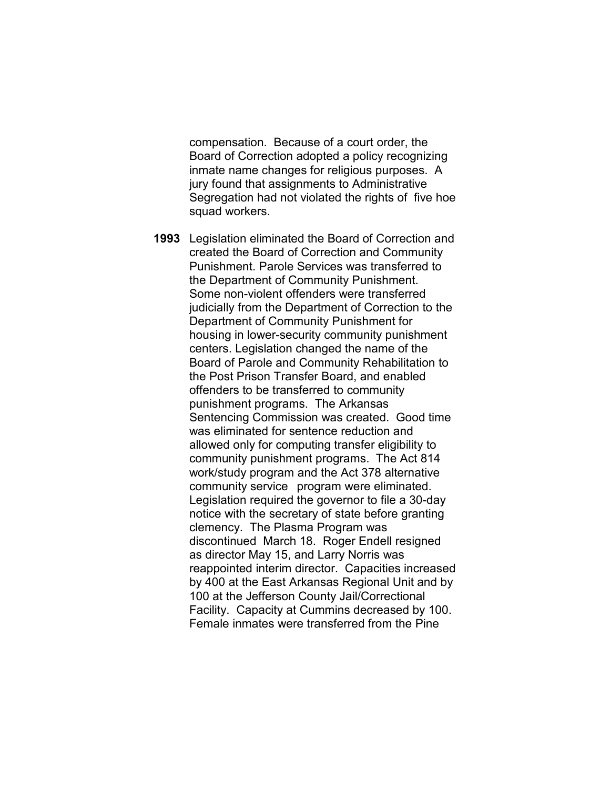compensation. Because of a court order, the Board of Correction adopted a policy recognizing inmate name changes for religious purposes. A jury found that assignments to Administrative Segregation had not violated the rights of five hoe squad workers.

1993 Legislation eliminated the Board of Correction and created the Board of Correction and Community Punishment. Parole Services was transferred to the Department of Community Punishment. Some non-violent offenders were transferred judicially from the Department of Correction to the Department of Community Punishment for housing in lower-security community punishment centers. Legislation changed the name of the Board of Parole and Community Rehabilitation to the Post Prison Transfer Board, and enabled offenders to be transferred to community punishment programs. The Arkansas Sentencing Commission was created. Good time was eliminated for sentence reduction and allowed only for computing transfer eligibility to community punishment programs. The Act 814 work/study program and the Act 378 alternative community service program were eliminated. Legislation required the governor to file a 30-day notice with the secretary of state before granting clemency. The Plasma Program was discontinued March 18. Roger Endell resigned as director May 15, and Larry Norris was reappointed interim director. Capacities increased by 400 at the East Arkansas Regional Unit and by 100 at the Jefferson County Jail/Correctional Facility. Capacity at Cummins decreased by 100. Female inmates were transferred from the Pine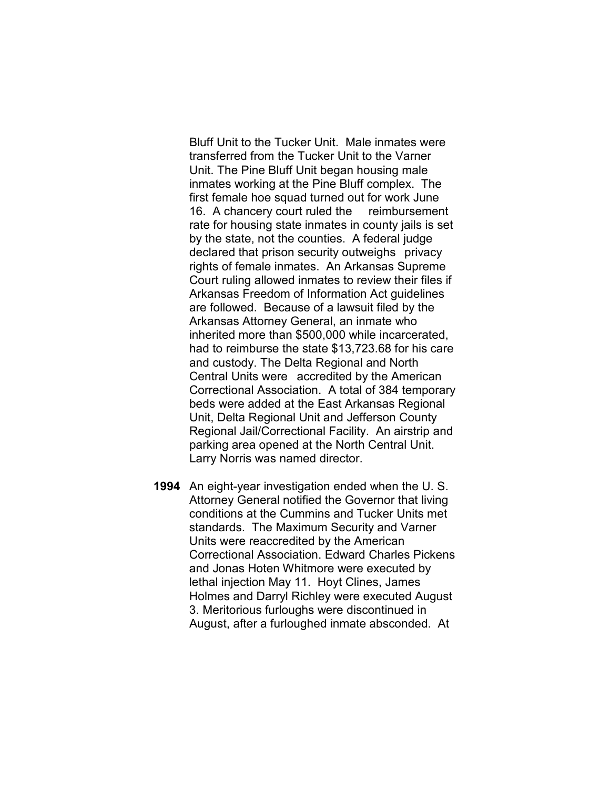Bluff Unit to the Tucker Unit. Male inmates were transferred from the Tucker Unit to the Varner Unit. The Pine Bluff Unit began housing male inmates working at the Pine Bluff complex. The first female hoe squad turned out for work June 16. A chancery court ruled the reimbursement rate for housing state inmates in county jails is set by the state, not the counties. A federal judge declared that prison security outweighs privacy rights of female inmates. An Arkansas Supreme Court ruling allowed inmates to review their files if Arkansas Freedom of Information Act guidelines are followed. Because of a lawsuit filed by the Arkansas Attorney General, an inmate who inherited more than \$500,000 while incarcerated, had to reimburse the state \$13,723.68 for his care and custody. The Delta Regional and North Central Units were accredited by the American Correctional Association. A total of 384 temporary beds were added at the East Arkansas Regional Unit, Delta Regional Unit and Jefferson County Regional Jail/Correctional Facility. An airstrip and parking area opened at the North Central Unit. Larry Norris was named director.

1994 An eight-year investigation ended when the U. S. Attorney General notified the Governor that living conditions at the Cummins and Tucker Units met standards. The Maximum Security and Varner Units were reaccredited by the American Correctional Association. Edward Charles Pickens and Jonas Hoten Whitmore were executed by lethal injection May 11. Hoyt Clines, James Holmes and Darryl Richley were executed August 3. Meritorious furloughs were discontinued in August, after a furloughed inmate absconded. At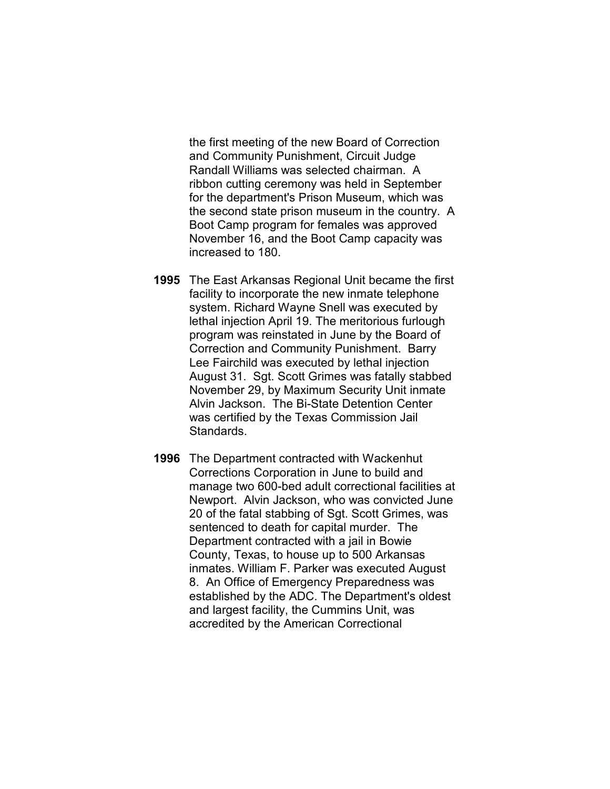the first meeting of the new Board of Correction and Community Punishment, Circuit Judge Randall Williams was selected chairman. A ribbon cutting ceremony was held in September for the department's Prison Museum, which was the second state prison museum in the country. A Boot Camp program for females was approved November 16, and the Boot Camp capacity was increased to 180.

- 1995 The East Arkansas Regional Unit became the first facility to incorporate the new inmate telephone system. Richard Wayne Snell was executed by lethal injection April 19. The meritorious furlough program was reinstated in June by the Board of Correction and Community Punishment. Barry Lee Fairchild was executed by lethal injection August 31. Sgt. Scott Grimes was fatally stabbed November 29, by Maximum Security Unit inmate Alvin Jackson. The Bi-State Detention Center was certified by the Texas Commission Jail Standards.
- 1996 The Department contracted with Wackenhut Corrections Corporation in June to build and manage two 600-bed adult correctional facilities at Newport. Alvin Jackson, who was convicted June 20 of the fatal stabbing of Sgt. Scott Grimes, was sentenced to death for capital murder. The Department contracted with a jail in Bowie County, Texas, to house up to 500 Arkansas inmates. William F. Parker was executed August 8. An Office of Emergency Preparedness was established by the ADC. The Department's oldest and largest facility, the Cummins Unit, was accredited by the American Correctional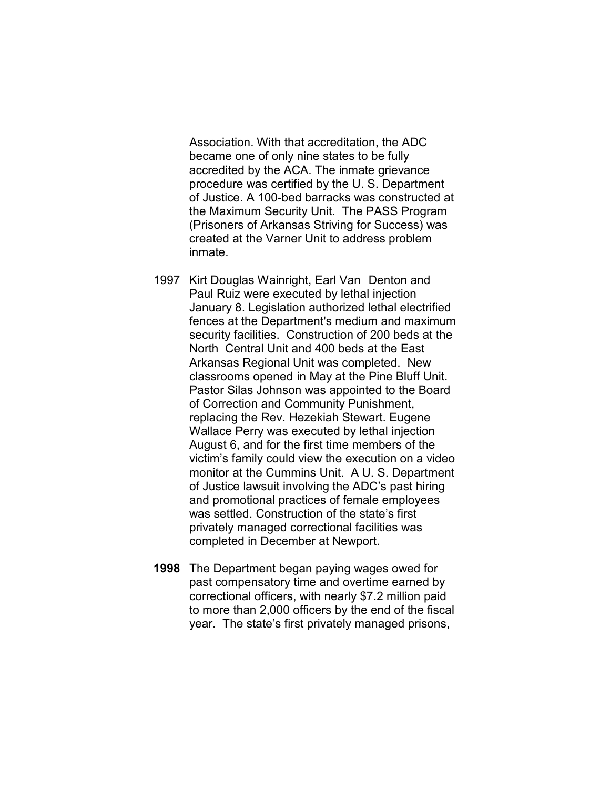Association. With that accreditation, the ADC became one of only nine states to be fully accredited by the ACA. The inmate grievance procedure was certified by the U. S. Department of Justice. A 100-bed barracks was constructed at the Maximum Security Unit. The PASS Program (Prisoners of Arkansas Striving for Success) was created at the Varner Unit to address problem inmate.

- 1997 Kirt Douglas Wainright, Earl Van Denton and Paul Ruiz were executed by lethal injection January 8. Legislation authorized lethal electrified fences at the Department's medium and maximum security facilities. Construction of 200 beds at the North Central Unit and 400 beds at the East Arkansas Regional Unit was completed. New classrooms opened in May at the Pine Bluff Unit. Pastor Silas Johnson was appointed to the Board of Correction and Community Punishment, replacing the Rev. Hezekiah Stewart. Eugene Wallace Perry was executed by lethal injection August 6, and for the first time members of the victim's family could view the execution on a video monitor at the Cummins Unit. A U. S. Department of Justice lawsuit involving the ADC's past hiring and promotional practices of female employees was settled. Construction of the state's first privately managed correctional facilities was completed in December at Newport.
- 1998 The Department began paying wages owed for past compensatory time and overtime earned by correctional officers, with nearly \$7.2 million paid to more than 2,000 officers by the end of the fiscal year. The state's first privately managed prisons,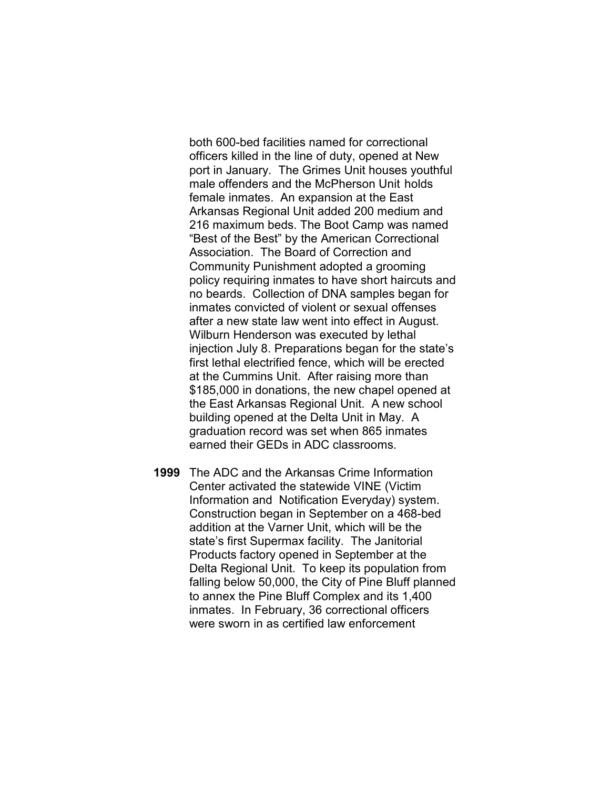both 600-bed facilities named for correctional officers killed in the line of duty, opened at New port in January. The Grimes Unit houses youthful male offenders and the McPherson Unit holds female inmates. An expansion at the East Arkansas Regional Unit added 200 medium and 216 maximum beds. The Boot Camp was named "Best of the Best" by the American Correctional Association. The Board of Correction and Community Punishment adopted a grooming policy requiring inmates to have short haircuts and no beards. Collection of DNA samples began for inmates convicted of violent or sexual offenses after a new state law went into effect in August. Wilburn Henderson was executed by lethal injection July 8. Preparations began for the state's first lethal electrified fence, which will be erected at the Cummins Unit. After raising more than \$185,000 in donations, the new chapel opened at the East Arkansas Regional Unit. A new school building opened at the Delta Unit in May. A graduation record was set when 865 inmates earned their GEDs in ADC classrooms.

1999 The ADC and the Arkansas Crime Information Center activated the statewide VINE (Victim Information and Notification Everyday) system. Construction began in September on a 468-bed addition at the Varner Unit, which will be the state's first Supermax facility. The Janitorial Products factory opened in September at the Delta Regional Unit. To keep its population from falling below 50,000, the City of Pine Bluff planned to annex the Pine Bluff Complex and its 1,400 inmates. In February, 36 correctional officers were sworn in as certified law enforcement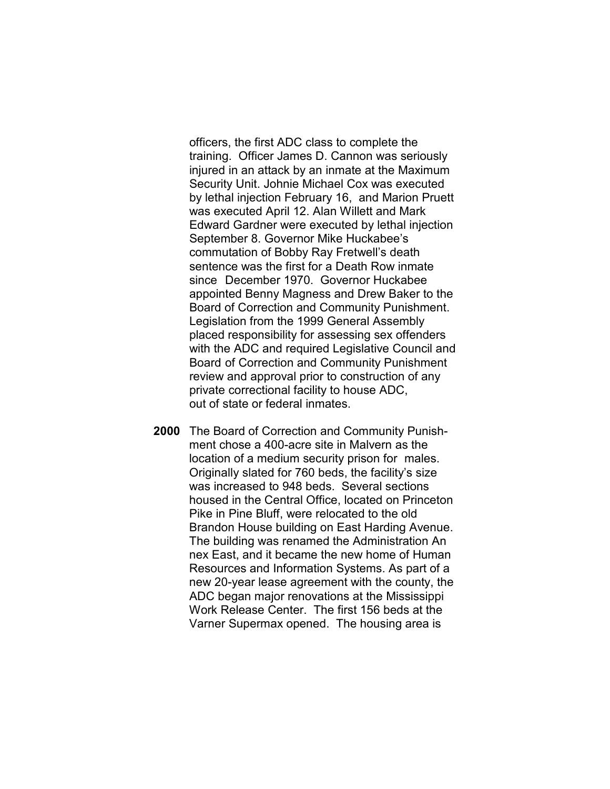officers, the first ADC class to complete the training. Officer James D. Cannon was seriously injured in an attack by an inmate at the Maximum Security Unit. Johnie Michael Cox was executed by lethal injection February 16, and Marion Pruett was executed April 12. Alan Willett and Mark Edward Gardner were executed by lethal injection September 8. Governor Mike Huckabee's commutation of Bobby Ray Fretwell's death sentence was the first for a Death Row inmate since December 1970. Governor Huckabee appointed Benny Magness and Drew Baker to the Board of Correction and Community Punishment. Legislation from the 1999 General Assembly placed responsibility for assessing sex offenders with the ADC and required Legislative Council and Board of Correction and Community Punishment review and approval prior to construction of any private correctional facility to house ADC, out of state or federal inmates.

2000 The Board of Correction and Community Punishment chose a 400-acre site in Malvern as the location of a medium security prison for males. Originally slated for 760 beds, the facility's size was increased to 948 beds. Several sections housed in the Central Office, located on Princeton Pike in Pine Bluff, were relocated to the old Brandon House building on East Harding Avenue. The building was renamed the Administration An nex East, and it became the new home of Human Resources and Information Systems. As part of a new 20-year lease agreement with the county, the ADC began major renovations at the Mississippi Work Release Center. The first 156 beds at the Varner Supermax opened. The housing area is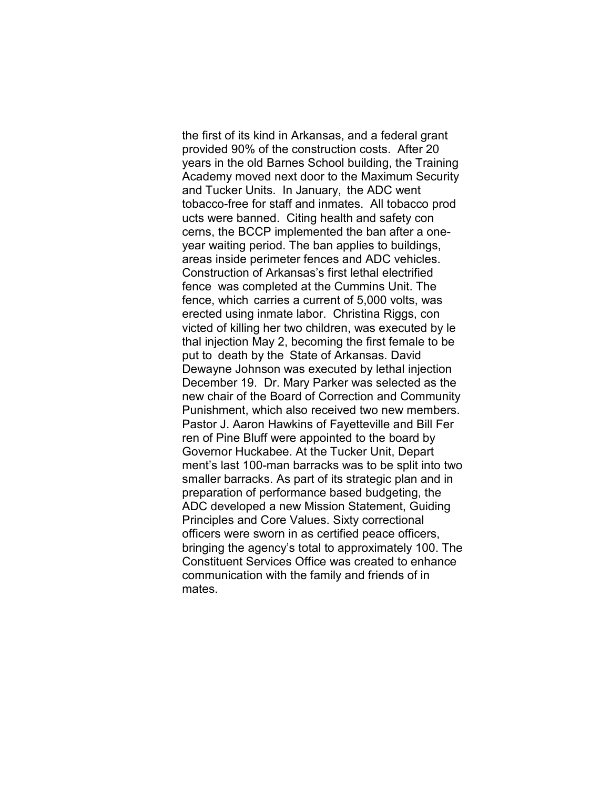the first of its kind in Arkansas, and a federal grant provided 90% of the construction costs. After 20 years in the old Barnes School building, the Training Academy moved next door to the Maximum Security and Tucker Units. In January, the ADC went tobacco-free for staff and inmates. All tobacco prod ucts were banned. Citing health and safety con cerns, the BCCP implemented the ban after a one year waiting period. The ban applies to buildings, areas inside perimeter fences and ADC vehicles. Construction of Arkansas's first lethal electrified fence was completed at the Cummins Unit. The fence, which carries a current of 5,000 volts, was erected using inmate labor. Christina Riggs, con victed of killing her two children, was executed by le thal injection May 2, becoming the first female to be put to death by the State of Arkansas. David Dewayne Johnson was executed by lethal injection December 19. Dr. Mary Parker was selected as the new chair of the Board of Correction and Community Punishment, which also received two new members. Pastor J. Aaron Hawkins of Fayetteville and Bill Fer ren of Pine Bluff were appointed to the board by Governor Huckabee. At the Tucker Unit, Depart ment's last 100-man barracks was to be split into two smaller barracks. As part of its strategic plan and in preparation of performance based budgeting, the ADC developed a new Mission Statement, Guiding Principles and Core Values. Sixty correctional officers were sworn in as certified peace officers, bringing the agency's total to approximately 100. The Constituent Services Office was created to enhance communication with the family and friends of in mates.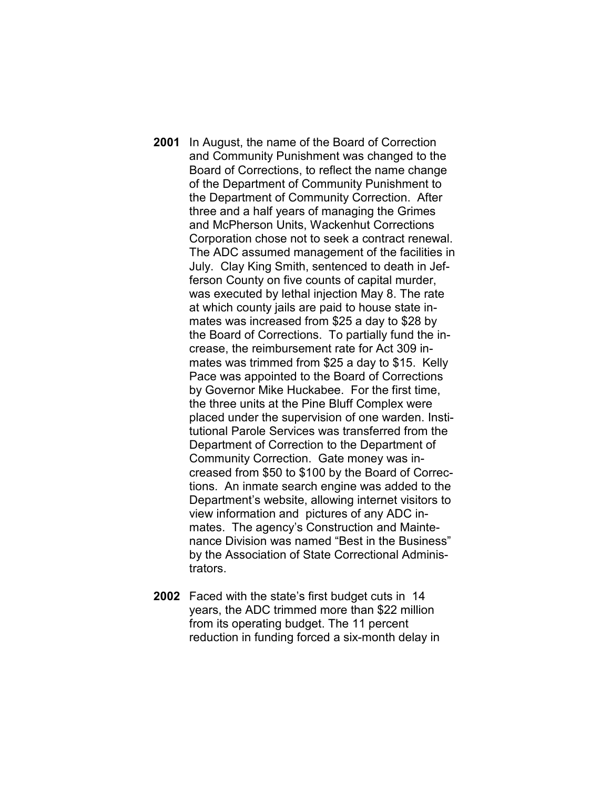- 2001 In August, the name of the Board of Correction and Community Punishment was changed to the Board of Corrections, to reflect the name change of the Department of Community Punishment to the Department of Community Correction. After three and a half years of managing the Grimes and McPherson Units, Wackenhut Corrections Corporation chose not to seek a contract renewal. The ADC assumed management of the facilities in July. Clay King Smith, sentenced to death in Jefferson County on five counts of capital murder, was executed by lethal injection May 8. The rate at which county jails are paid to house state inmates was increased from \$25 a day to \$28 by the Board of Corrections. To partially fund the increase, the reimbursement rate for Act 309 inmates was trimmed from \$25 a day to \$15. Kelly Pace was appointed to the Board of Corrections by Governor Mike Huckabee. For the first time, the three units at the Pine Bluff Complex were placed under the supervision of one warden. Institutional Parole Services was transferred from the Department of Correction to the Department of Community Correction. Gate money was increased from \$50 to \$100 by the Board of Corrections. An inmate search engine was added to the Department's website, allowing internet visitors to view information and pictures of any ADC inmates. The agency's Construction and Maintenance Division was named "Best in the Business" by the Association of State Correctional Administrators.
- 2002 Faced with the state's first budget cuts in 14 years, the ADC trimmed more than \$22 million from its operating budget. The 11 percent reduction in funding forced a six-month delay in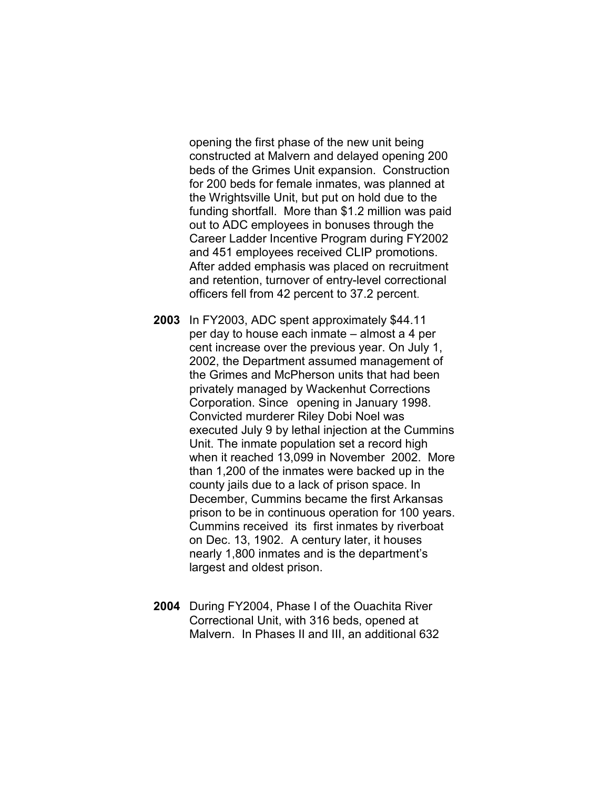opening the first phase of the new unit being constructed at Malvern and delayed opening 200 beds of the Grimes Unit expansion. Construction for 200 beds for female inmates, was planned at the Wrightsville Unit, but put on hold due to the funding shortfall. More than \$1.2 million was paid out to ADC employees in bonuses through the Career Ladder Incentive Program during FY2002 and 451 employees received CLIP promotions. After added emphasis was placed on recruitment and retention, turnover of entry-level correctional officers fell from 42 percent to 37.2 percent.

- 2003 In FY2003, ADC spent approximately \$44.11 per day to house each inmate – almost a 4 per cent increase over the previous year. On July 1, 2002, the Department assumed management of the Grimes and McPherson units that had been privately managed by Wackenhut Corrections Corporation. Since opening in January 1998. Convicted murderer Riley Dobi Noel was executed July 9 by lethal injection at the Cummins Unit. The inmate population set a record high when it reached 13,099 in November 2002. More than 1,200 of the inmates were backed up in the county jails due to a lack of prison space. In December, Cummins became the first Arkansas prison to be in continuous operation for 100 years. Cummins received its first inmates by riverboat on Dec. 13, 1902. A century later, it houses nearly 1,800 inmates and is the department's largest and oldest prison.
- 2004 During FY2004, Phase I of the Ouachita River Correctional Unit, with 316 beds, opened at Malvern. In Phases II and III, an additional 632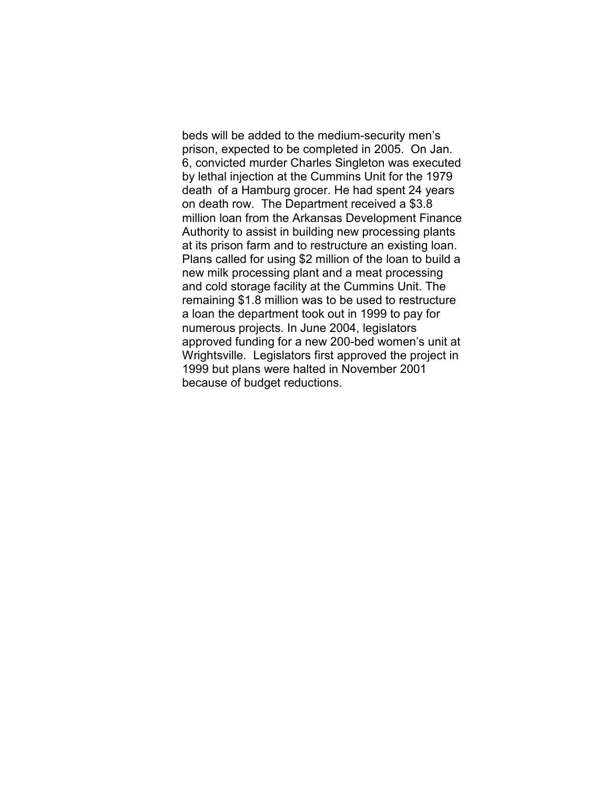beds will be added to the medium-security men's prison, expected to be completed in 2005. On Jan. 6, convicted murder Charles Singleton was executed by lethal injection at the Cummins Unit for the 1979 death of a Hamburg grocer. He had spent 24 years on death row. The Department received a \$3.8 million loan from the Arkansas Development Finance Authority to assist in building new processing plants at its prison farm and to restructure an existing loan. Plans called for using \$2 million of the loan to build a new milk processing plant and a meat processing and cold storage facility at the Cummins Unit. The remaining \$1.8 million was to be used to restructure a loan the department took out in 1999 to pay for numerous projects. In June 2004, legislators approved funding for a new 200-bed women's unit at Wrightsville. Legislators first approved the project in 1999 but plans were halted in November 2001 because of budget reductions.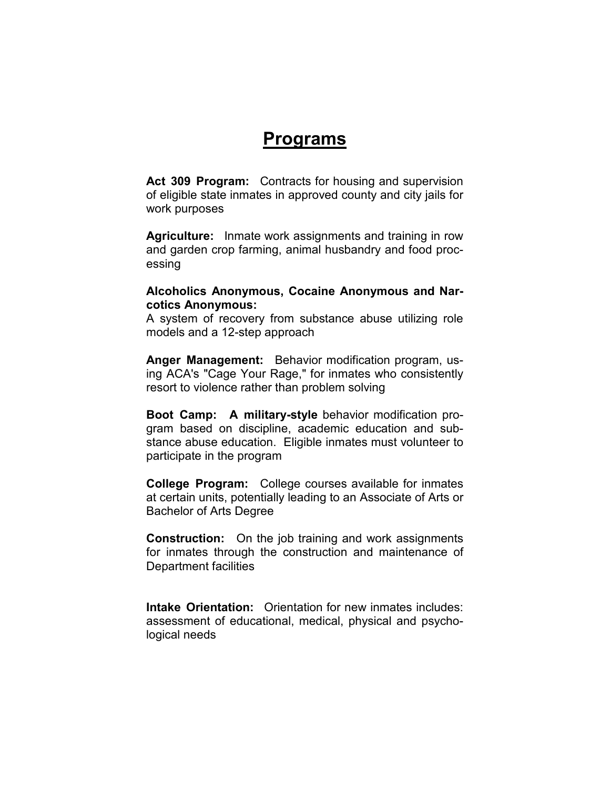## Programs

Act 309 Program: Contracts for housing and supervision of eligible state inmates in approved county and city jails for work purposes

Agriculture: Inmate work assignments and training in row and garden crop farming, animal husbandry and food processing

### Alcoholics Anonymous, Cocaine Anonymous and Narcotics Anonymous:

A system of recovery from substance abuse utilizing role models and a 12-step approach

Anger Management: Behavior modification program, using ACA's "Cage Your Rage," for inmates who consistently resort to violence rather than problem solving

Boot Camp: A military-style behavior modification program based on discipline, academic education and substance abuse education. Eligible inmates must volunteer to participate in the program

College Program: College courses available for inmates at certain units, potentially leading to an Associate of Arts or Bachelor of Arts Degree

Construction: On the job training and work assignments for inmates through the construction and maintenance of Department facilities

Intake Orientation: Orientation for new inmates includes: assessment of educational, medical, physical and psychological needs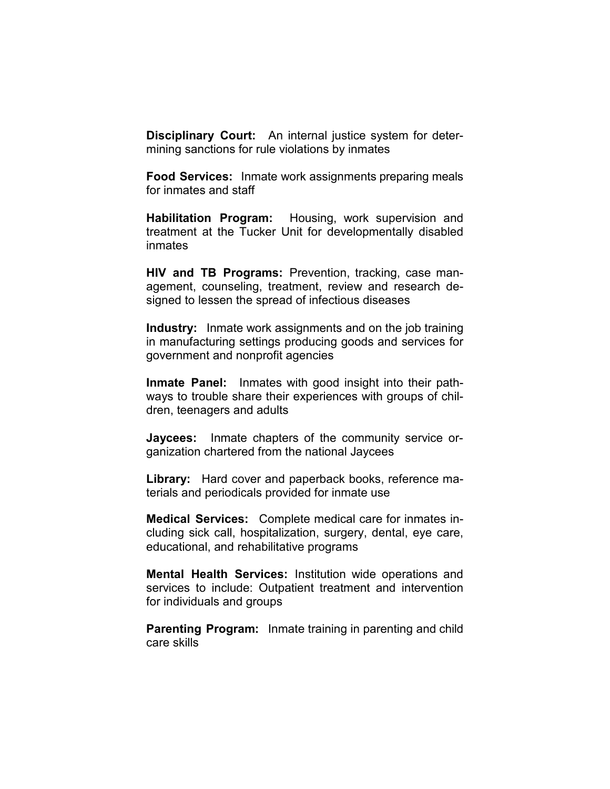**Disciplinary Court:** An internal justice system for determining sanctions for rule violations by inmates

Food Services: Inmate work assignments preparing meals for inmates and staff

Habilitation Program: Housing, work supervision and treatment at the Tucker Unit for developmentally disabled inmates

HIV and TB Programs: Prevention, tracking, case management, counseling, treatment, review and research designed to lessen the spread of infectious diseases

Industry: Inmate work assignments and on the job training in manufacturing settings producing goods and services for government and nonprofit agencies

Inmate Panel: Inmates with good insight into their pathways to trouble share their experiences with groups of children, teenagers and adults

Jaycees: Inmate chapters of the community service organization chartered from the national Jaycees

Library: Hard cover and paperback books, reference materials and periodicals provided for inmate use

Medical Services: Complete medical care for inmates including sick call, hospitalization, surgery, dental, eye care, educational, and rehabilitative programs

Mental Health Services: Institution wide operations and services to include: Outpatient treatment and intervention for individuals and groups

**Parenting Program:** Inmate training in parenting and child care skills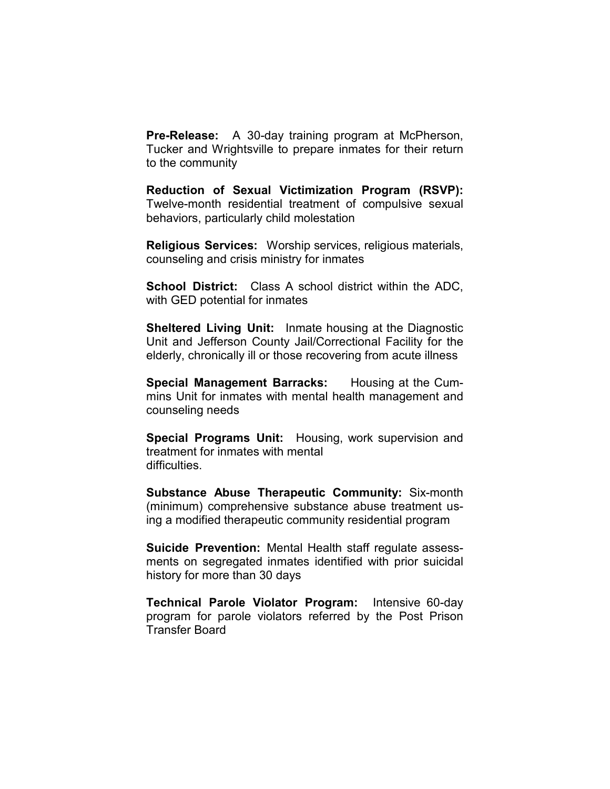Pre-Release: A 30-day training program at McPherson, Tucker and Wrightsville to prepare inmates for their return to the community

Reduction of Sexual Victimization Program (RSVP): Twelve-month residential treatment of compulsive sexual behaviors, particularly child molestation

Religious Services: Worship services, religious materials, counseling and crisis ministry for inmates

School District: Class A school district within the ADC, with GED potential for inmates

Sheltered Living Unit: Inmate housing at the Diagnostic Unit and Jefferson County Jail/Correctional Facility for the elderly, chronically ill or those recovering from acute illness

Special Management Barracks: Housing at the Cummins Unit for inmates with mental health management and counseling needs

Special Programs Unit: Housing, work supervision and treatment for inmates with mental difficulties.

Substance Abuse Therapeutic Community: Six-month (minimum) comprehensive substance abuse treatment using a modified therapeutic community residential program

Suicide Prevention: Mental Health staff regulate assessments on segregated inmates identified with prior suicidal history for more than 30 days

Technical Parole Violator Program: Intensive 60-day program for parole violators referred by the Post Prison Transfer Board